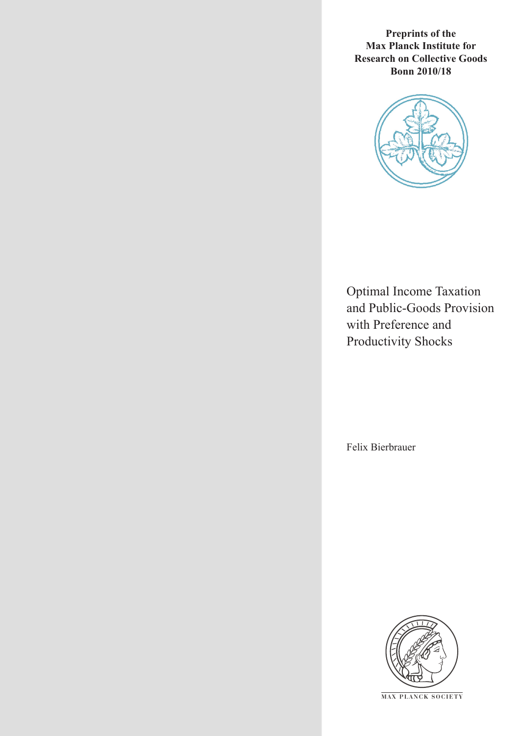**Preprints of the Max Planck Institute for Research on Collective Goods Bonn 2010/18**



Optimal Income Taxation and Public-Goods Provision with Preference and Productivity Shocks

Felix Bierbrauer



**M AX P L A N C K S O C I E T Y**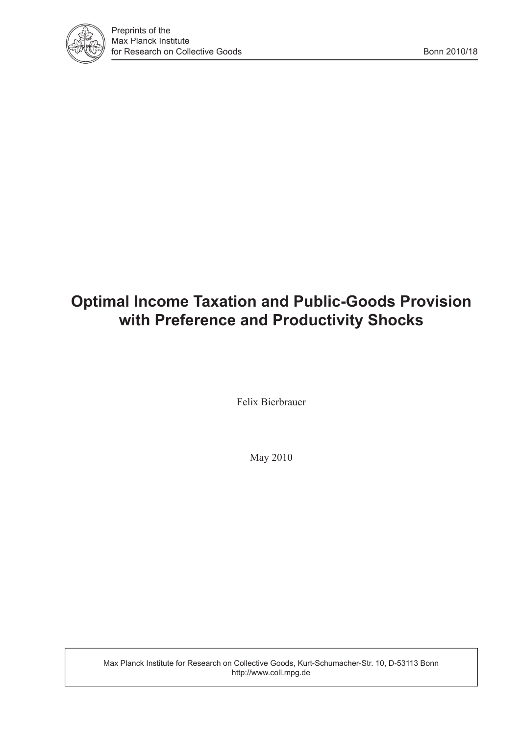

# **Optimal Income Taxation and Public-Goods Provision with Preference and Productivity Shocks**

Felix Bierbrauer

May 2010

Max Planck Institute for Research on Collective Goods, Kurt-Schumacher-Str. 10, D-53113 Bonn http://www.coll.mpg.de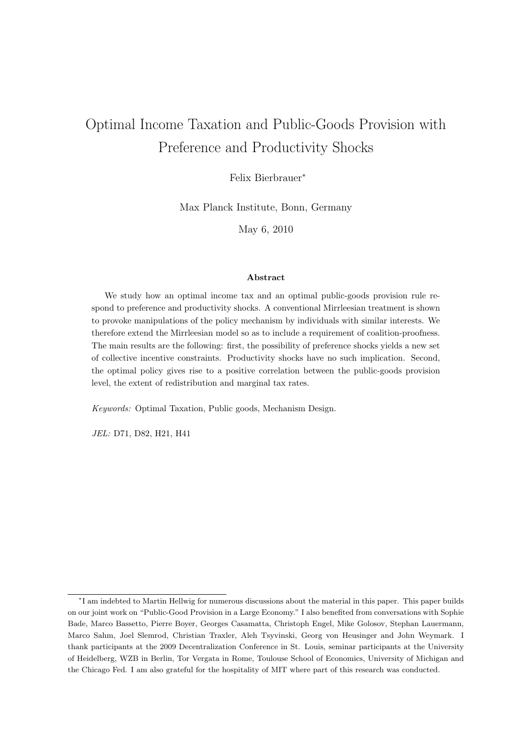# Optimal Income Taxation and Public-Goods Provision with Preference and Productivity Shocks

Felix Bierbrauer<sup>∗</sup>

Max Planck Institute, Bonn, Germany

May 6, 2010

#### Abstract

We study how an optimal income tax and an optimal public-goods provision rule respond to preference and productivity shocks. A conventional Mirrleesian treatment is shown to provoke manipulations of the policy mechanism by individuals with similar interests. We therefore extend the Mirrleesian model so as to include a requirement of coalition-proofness. The main results are the following: first, the possibility of preference shocks yields a new set of collective incentive constraints. Productivity shocks have no such implication. Second, the optimal policy gives rise to a positive correlation between the public-goods provision level, the extent of redistribution and marginal tax rates.

Keywords: Optimal Taxation, Public goods, Mechanism Design.

JEL: D71, D82, H21, H41

<sup>∗</sup> I am indebted to Martin Hellwig for numerous discussions about the material in this paper. This paper builds on our joint work on "Public-Good Provision in a Large Economy." I also benefited from conversations with Sophie Bade, Marco Bassetto, Pierre Boyer, Georges Casamatta, Christoph Engel, Mike Golosov, Stephan Lauermann, Marco Sahm, Joel Slemrod, Christian Traxler, Aleh Tsyvinski, Georg von Heusinger and John Weymark. I thank participants at the 2009 Decentralization Conference in St. Louis, seminar participants at the University of Heidelberg, WZB in Berlin, Tor Vergata in Rome, Toulouse School of Economics, University of Michigan and the Chicago Fed. I am also grateful for the hospitality of MIT where part of this research was conducted.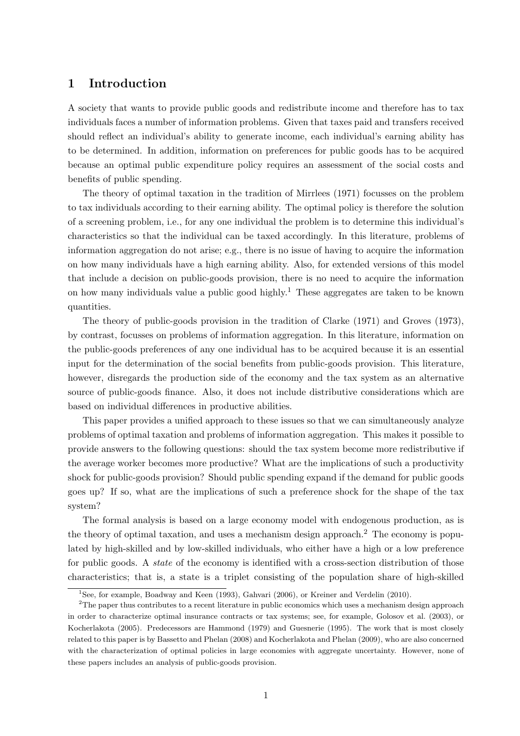# 1 Introduction

A society that wants to provide public goods and redistribute income and therefore has to tax individuals faces a number of information problems. Given that taxes paid and transfers received should reflect an individual's ability to generate income, each individual's earning ability has to be determined. In addition, information on preferences for public goods has to be acquired because an optimal public expenditure policy requires an assessment of the social costs and benefits of public spending.

The theory of optimal taxation in the tradition of Mirrlees (1971) focusses on the problem to tax individuals according to their earning ability. The optimal policy is therefore the solution of a screening problem, i.e., for any one individual the problem is to determine this individual's characteristics so that the individual can be taxed accordingly. In this literature, problems of information aggregation do not arise; e.g., there is no issue of having to acquire the information on how many individuals have a high earning ability. Also, for extended versions of this model that include a decision on public-goods provision, there is no need to acquire the information on how many individuals value a public good highly.<sup>1</sup> These aggregates are taken to be known quantities.

The theory of public-goods provision in the tradition of Clarke (1971) and Groves (1973), by contrast, focusses on problems of information aggregation. In this literature, information on the public-goods preferences of any one individual has to be acquired because it is an essential input for the determination of the social benefits from public-goods provision. This literature, however, disregards the production side of the economy and the tax system as an alternative source of public-goods finance. Also, it does not include distributive considerations which are based on individual differences in productive abilities.

This paper provides a unified approach to these issues so that we can simultaneously analyze problems of optimal taxation and problems of information aggregation. This makes it possible to provide answers to the following questions: should the tax system become more redistributive if the average worker becomes more productive? What are the implications of such a productivity shock for public-goods provision? Should public spending expand if the demand for public goods goes up? If so, what are the implications of such a preference shock for the shape of the tax system?

The formal analysis is based on a large economy model with endogenous production, as is the theory of optimal taxation, and uses a mechanism design approach.<sup>2</sup> The economy is populated by high-skilled and by low-skilled individuals, who either have a high or a low preference for public goods. A *state* of the economy is identified with a cross-section distribution of those characteristics; that is, a state is a triplet consisting of the population share of high-skilled

<sup>&</sup>lt;sup>1</sup>See, for example, Boadway and Keen (1993), Gahvari (2006), or Kreiner and Verdelin (2010).

<sup>&</sup>lt;sup>2</sup>The paper thus contributes to a recent literature in public economics which uses a mechanism design approach in order to characterize optimal insurance contracts or tax systems; see, for example, Golosov et al. (2003), or Kocherlakota (2005). Predecessors are Hammond (1979) and Guesnerie (1995). The work that is most closely related to this paper is by Bassetto and Phelan (2008) and Kocherlakota and Phelan (2009), who are also concerned with the characterization of optimal policies in large economies with aggregate uncertainty. However, none of these papers includes an analysis of public-goods provision.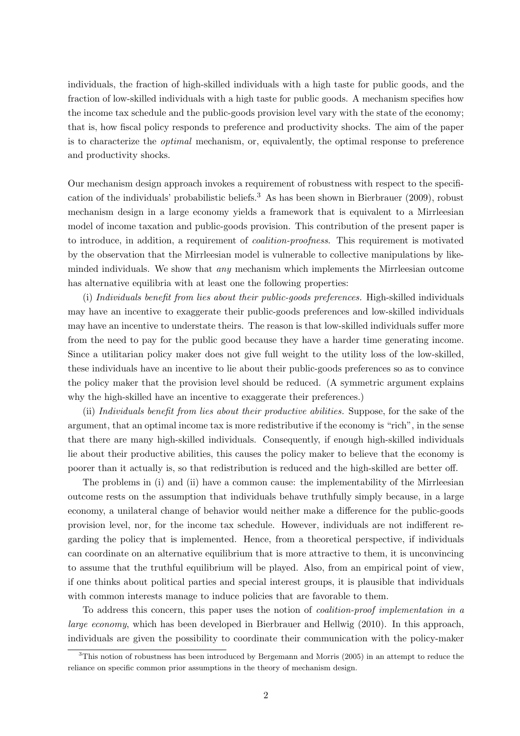individuals, the fraction of high-skilled individuals with a high taste for public goods, and the fraction of low-skilled individuals with a high taste for public goods. A mechanism specifies how the income tax schedule and the public-goods provision level vary with the state of the economy; that is, how fiscal policy responds to preference and productivity shocks. The aim of the paper is to characterize the optimal mechanism, or, equivalently, the optimal response to preference and productivity shocks.

Our mechanism design approach invokes a requirement of robustness with respect to the specification of the individuals' probabilistic beliefs.<sup>3</sup> As has been shown in Bierbrauer (2009), robust mechanism design in a large economy yields a framework that is equivalent to a Mirrleesian model of income taxation and public-goods provision. This contribution of the present paper is to introduce, in addition, a requirement of *coalition-proofness*. This requirement is motivated by the observation that the Mirrleesian model is vulnerable to collective manipulations by likeminded individuals. We show that any mechanism which implements the Mirrleesian outcome has alternative equilibria with at least one the following properties:

(i) Individuals benefit from lies about their public-goods preferences. High-skilled individuals may have an incentive to exaggerate their public-goods preferences and low-skilled individuals may have an incentive to understate theirs. The reason is that low-skilled individuals suffer more from the need to pay for the public good because they have a harder time generating income. Since a utilitarian policy maker does not give full weight to the utility loss of the low-skilled, these individuals have an incentive to lie about their public-goods preferences so as to convince the policy maker that the provision level should be reduced. (A symmetric argument explains why the high-skilled have an incentive to exaggerate their preferences.)

(ii) Individuals benefit from lies about their productive abilities. Suppose, for the sake of the argument, that an optimal income tax is more redistributive if the economy is "rich", in the sense that there are many high-skilled individuals. Consequently, if enough high-skilled individuals lie about their productive abilities, this causes the policy maker to believe that the economy is poorer than it actually is, so that redistribution is reduced and the high-skilled are better off.

The problems in (i) and (ii) have a common cause: the implementability of the Mirrleesian outcome rests on the assumption that individuals behave truthfully simply because, in a large economy, a unilateral change of behavior would neither make a difference for the public-goods provision level, nor, for the income tax schedule. However, individuals are not indifferent regarding the policy that is implemented. Hence, from a theoretical perspective, if individuals can coordinate on an alternative equilibrium that is more attractive to them, it is unconvincing to assume that the truthful equilibrium will be played. Also, from an empirical point of view, if one thinks about political parties and special interest groups, it is plausible that individuals with common interests manage to induce policies that are favorable to them.

To address this concern, this paper uses the notion of coalition-proof implementation in a large economy, which has been developed in Bierbrauer and Hellwig (2010). In this approach, individuals are given the possibility to coordinate their communication with the policy-maker

<sup>3</sup>This notion of robustness has been introduced by Bergemann and Morris (2005) in an attempt to reduce the reliance on specific common prior assumptions in the theory of mechanism design.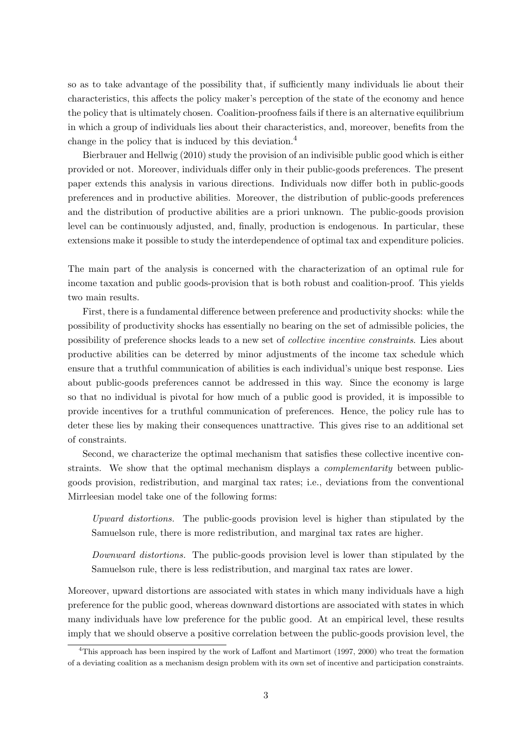so as to take advantage of the possibility that, if sufficiently many individuals lie about their characteristics, this affects the policy maker's perception of the state of the economy and hence the policy that is ultimately chosen. Coalition-proofness fails if there is an alternative equilibrium in which a group of individuals lies about their characteristics, and, moreover, benefits from the change in the policy that is induced by this deviation.<sup>4</sup>

Bierbrauer and Hellwig (2010) study the provision of an indivisible public good which is either provided or not. Moreover, individuals differ only in their public-goods preferences. The present paper extends this analysis in various directions. Individuals now differ both in public-goods preferences and in productive abilities. Moreover, the distribution of public-goods preferences and the distribution of productive abilities are a priori unknown. The public-goods provision level can be continuously adjusted, and, finally, production is endogenous. In particular, these extensions make it possible to study the interdependence of optimal tax and expenditure policies.

The main part of the analysis is concerned with the characterization of an optimal rule for income taxation and public goods-provision that is both robust and coalition-proof. This yields two main results.

First, there is a fundamental difference between preference and productivity shocks: while the possibility of productivity shocks has essentially no bearing on the set of admissible policies, the possibility of preference shocks leads to a new set of collective incentive constraints. Lies about productive abilities can be deterred by minor adjustments of the income tax schedule which ensure that a truthful communication of abilities is each individual's unique best response. Lies about public-goods preferences cannot be addressed in this way. Since the economy is large so that no individual is pivotal for how much of a public good is provided, it is impossible to provide incentives for a truthful communication of preferences. Hence, the policy rule has to deter these lies by making their consequences unattractive. This gives rise to an additional set of constraints.

Second, we characterize the optimal mechanism that satisfies these collective incentive constraints. We show that the optimal mechanism displays a *complementarity* between publicgoods provision, redistribution, and marginal tax rates; i.e., deviations from the conventional Mirrleesian model take one of the following forms:

Upward distortions. The public-goods provision level is higher than stipulated by the Samuelson rule, there is more redistribution, and marginal tax rates are higher.

Downward distortions. The public-goods provision level is lower than stipulated by the Samuelson rule, there is less redistribution, and marginal tax rates are lower.

Moreover, upward distortions are associated with states in which many individuals have a high preference for the public good, whereas downward distortions are associated with states in which many individuals have low preference for the public good. At an empirical level, these results imply that we should observe a positive correlation between the public-goods provision level, the

<sup>4</sup>This approach has been inspired by the work of Laffont and Martimort (1997, 2000) who treat the formation of a deviating coalition as a mechanism design problem with its own set of incentive and participation constraints.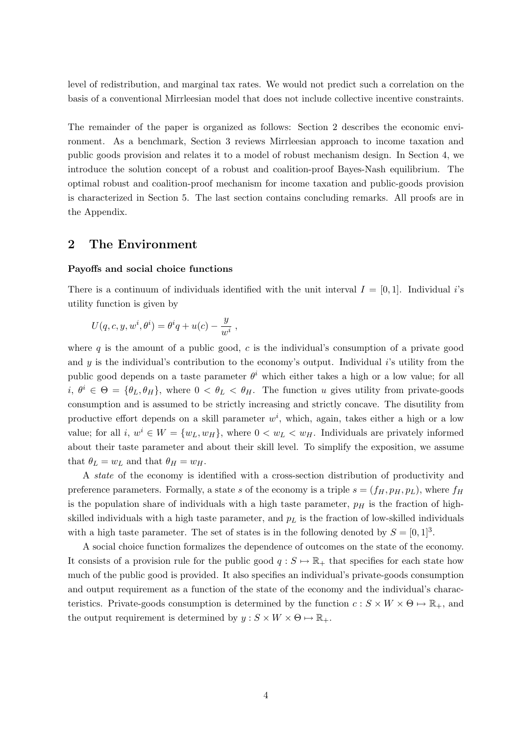level of redistribution, and marginal tax rates. We would not predict such a correlation on the basis of a conventional Mirrleesian model that does not include collective incentive constraints.

The remainder of the paper is organized as follows: Section 2 describes the economic environment. As a benchmark, Section 3 reviews Mirrleesian approach to income taxation and public goods provision and relates it to a model of robust mechanism design. In Section 4, we introduce the solution concept of a robust and coalition-proof Bayes-Nash equilibrium. The optimal robust and coalition-proof mechanism for income taxation and public-goods provision is characterized in Section 5. The last section contains concluding remarks. All proofs are in the Appendix.

# 2 The Environment

### Payoffs and social choice functions

There is a continuum of individuals identified with the unit interval  $I = [0, 1]$ . Individual i's utility function is given by

$$
U(q, c, y, wi, \thetai) = \thetaiq + u(c) - \frac{y}{wi},
$$

where q is the amount of a public good, c is the individual's consumption of a private good and  $y$  is the individual's contribution to the economy's output. Individual i's utility from the public good depends on a taste parameter  $\theta^i$  which either takes a high or a low value; for all  $i, \theta^i \in \Theta = {\theta_L, \theta_H},$  where  $0 < \theta_L < \theta_H$ . The function u gives utility from private-goods consumption and is assumed to be strictly increasing and strictly concave. The disutility from productive effort depends on a skill parameter  $w^i$ , which, again, takes either a high or a low value; for all i,  $w^i \in W = \{w_L, w_H\}$ , where  $0 < w_L < w_H$ . Individuals are privately informed about their taste parameter and about their skill level. To simplify the exposition, we assume that  $\theta_L = w_L$  and that  $\theta_H = w_H$ .

A state of the economy is identified with a cross-section distribution of productivity and preference parameters. Formally, a state s of the economy is a triple  $s = (f_H, p_H, p_L)$ , where  $f_H$ is the population share of individuals with a high taste parameter,  $p<sub>H</sub>$  is the fraction of highskilled individuals with a high taste parameter, and  $p<sub>L</sub>$  is the fraction of low-skilled individuals with a high taste parameter. The set of states is in the following denoted by  $S = [0, 1]^3$ .

A social choice function formalizes the dependence of outcomes on the state of the economy. It consists of a provision rule for the public good  $q : S \mapsto \mathbb{R}_+$  that specifies for each state how much of the public good is provided. It also specifies an individual's private-goods consumption and output requirement as a function of the state of the economy and the individual's characteristics. Private-goods consumption is determined by the function  $c : S \times W \times \Theta \mapsto \mathbb{R}_+$ , and the output requirement is determined by  $y : S \times W \times \Theta \mapsto \mathbb{R}_+$ .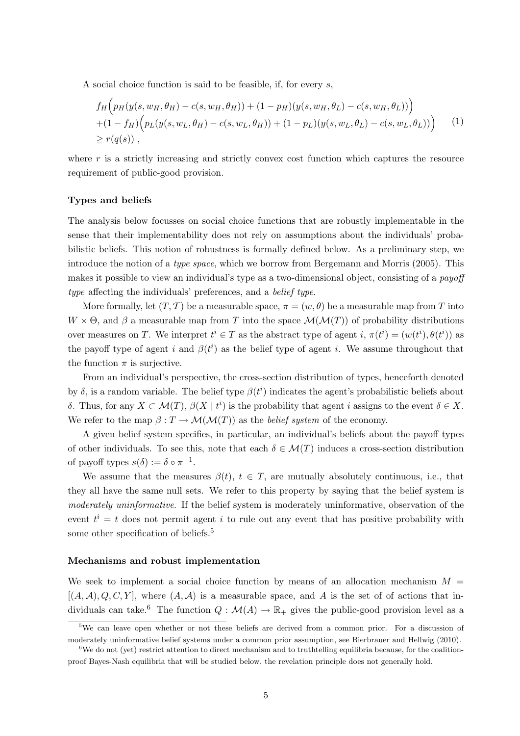A social choice function is said to be feasible, if, for every s,

$$
f_H(p_H(y(s, w_H, \theta_H) - c(s, w_H, \theta_H)) + (1 - p_H)(y(s, w_H, \theta_L) - c(s, w_H, \theta_L))
$$
  
 
$$
+ (1 - f_H) (p_L(y(s, w_L, \theta_H) - c(s, w_L, \theta_H)) + (1 - p_L)(y(s, w_L, \theta_L) - c(s, w_L, \theta_L)) )
$$
  
\n
$$
\ge r(q(s)),
$$
 (1)

where  $r$  is a strictly increasing and strictly convex cost function which captures the resource requirement of public-good provision.

### Types and beliefs

The analysis below focusses on social choice functions that are robustly implementable in the sense that their implementability does not rely on assumptions about the individuals' probabilistic beliefs. This notion of robustness is formally defined below. As a preliminary step, we introduce the notion of a type space, which we borrow from Bergemann and Morris (2005). This makes it possible to view an individual's type as a two-dimensional object, consisting of a *payoff* type affecting the individuals' preferences, and a belief type.

More formally, let  $(T, \mathcal{T})$  be a measurable space,  $\pi = (w, \theta)$  be a measurable map from T into  $W \times \Theta$ , and  $\beta$  a measurable map from T into the space  $\mathcal{M}(\mathcal{M}(T))$  of probability distributions over measures on T. We interpret  $t^i \in T$  as the abstract type of agent  $i, \pi(t^i) = (w(t^i), \theta(t^i))$  as the payoff type of agent i and  $\beta(t^i)$  as the belief type of agent i. We assume throughout that the function  $\pi$  is surjective.

From an individual's perspective, the cross-section distribution of types, henceforth denoted by  $\delta$ , is a random variable. The belief type  $\beta(t^i)$  indicates the agent's probabilistic beliefs about δ. Thus, for any  $X \subset \mathcal{M}(T)$ ,  $\beta(X \mid t^i)$  is the probability that agent *i* assigns to the event  $\delta \in X$ . We refer to the map  $\beta: T \to \mathcal{M}(\mathcal{M}(T))$  as the *belief system* of the economy.

A given belief system specifies, in particular, an individual's beliefs about the payoff types of other individuals. To see this, note that each  $\delta \in \mathcal{M}(T)$  induces a cross-section distribution of payoff types  $s(\delta) := \delta \circ \pi^{-1}$ .

We assume that the measures  $\beta(t), t \in T$ , are mutually absolutely continuous, i.e., that they all have the same null sets. We refer to this property by saying that the belief system is moderately uninformative. If the belief system is moderately uninformative, observation of the event  $t^{i} = t$  does not permit agent i to rule out any event that has positive probability with some other specification of beliefs.<sup>5</sup>

### Mechanisms and robust implementation

We seek to implement a social choice function by means of an allocation mechanism  $M =$  $[(A, \mathcal{A}), Q, C, Y]$ , where  $(A, \mathcal{A})$  is a measurable space, and A is the set of of actions that individuals can take.<sup>6</sup> The function  $Q : \mathcal{M}(A) \to \mathbb{R}_+$  gives the public-good provision level as a

<sup>&</sup>lt;sup>5</sup>We can leave open whether or not these beliefs are derived from a common prior. For a discussion of moderately uninformative belief systems under a common prior assumption, see Bierbrauer and Hellwig (2010).

<sup>6</sup>We do not (yet) restrict attention to direct mechanism and to truthtelling equilibria because, for the coalitionproof Bayes-Nash equilibria that will be studied below, the revelation principle does not generally hold.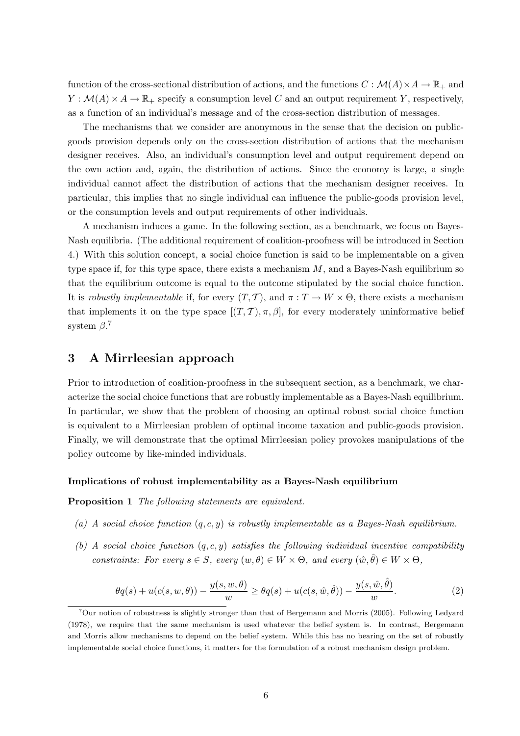function of the cross-sectional distribution of actions, and the functions  $C : \mathcal{M}(A) \times A \to \mathbb{R}_+$  and  $Y : \mathcal{M}(A) \times A \to \mathbb{R}_+$  specify a consumption level C and an output requirement Y, respectively, as a function of an individual's message and of the cross-section distribution of messages.

The mechanisms that we consider are anonymous in the sense that the decision on publicgoods provision depends only on the cross-section distribution of actions that the mechanism designer receives. Also, an individual's consumption level and output requirement depend on the own action and, again, the distribution of actions. Since the economy is large, a single individual cannot affect the distribution of actions that the mechanism designer receives. In particular, this implies that no single individual can influence the public-goods provision level, or the consumption levels and output requirements of other individuals.

A mechanism induces a game. In the following section, as a benchmark, we focus on Bayes-Nash equilibria. (The additional requirement of coalition-proofness will be introduced in Section 4.) With this solution concept, a social choice function is said to be implementable on a given type space if, for this type space, there exists a mechanism  $M$ , and a Bayes-Nash equilibrium so that the equilibrium outcome is equal to the outcome stipulated by the social choice function. It is robustly implementable if, for every  $(T, \mathcal{T})$ , and  $\pi : T \to W \times \Theta$ , there exists a mechanism that implements it on the type space  $[(T, \mathcal{T}), \pi, \beta]$ , for every moderately uninformative belief system  $\beta$ .<sup>7</sup>

# 3 A Mirrleesian approach

Prior to introduction of coalition-proofness in the subsequent section, as a benchmark, we characterize the social choice functions that are robustly implementable as a Bayes-Nash equilibrium. In particular, we show that the problem of choosing an optimal robust social choice function is equivalent to a Mirrleesian problem of optimal income taxation and public-goods provision. Finally, we will demonstrate that the optimal Mirrleesian policy provokes manipulations of the policy outcome by like-minded individuals.

### Implications of robust implementability as a Bayes-Nash equilibrium

Proposition 1 The following statements are equivalent.

- (a) A social choice function  $(q, c, y)$  is robustly implementable as a Bayes-Nash equilibrium.
- (b) A social choice function  $(q, c, y)$  satisfies the following individual incentive compatibility constraints: For every  $s \in S$ , every  $(w, \theta) \in W \times \Theta$ , and every  $(\hat{w}, \hat{\theta}) \in W \times \Theta$ ,

$$
\theta q(s) + u(c(s, w, \theta)) - \frac{y(s, w, \theta)}{w} \ge \theta q(s) + u(c(s, \hat{w}, \hat{\theta})) - \frac{y(s, \hat{w}, \hat{\theta})}{w}.
$$
\n(2)

<sup>7</sup>Our notion of robustness is slightly stronger than that of Bergemann and Morris (2005). Following Ledyard (1978), we require that the same mechanism is used whatever the belief system is. In contrast, Bergemann and Morris allow mechanisms to depend on the belief system. While this has no bearing on the set of robustly implementable social choice functions, it matters for the formulation of a robust mechanism design problem.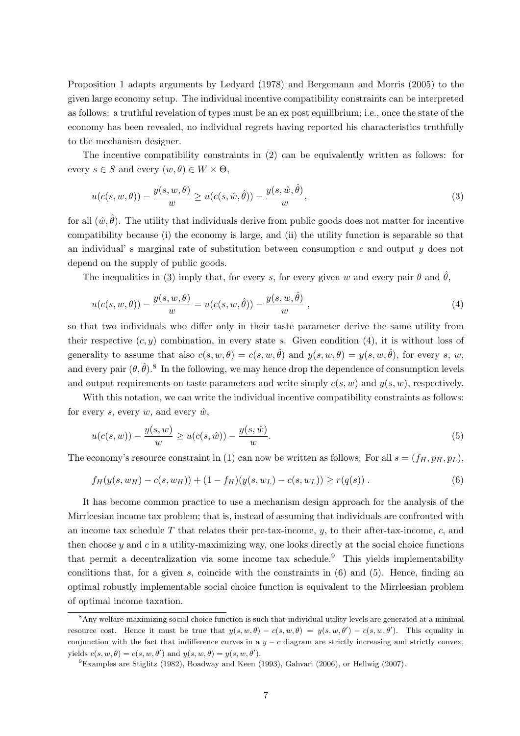Proposition 1 adapts arguments by Ledyard (1978) and Bergemann and Morris (2005) to the given large economy setup. The individual incentive compatibility constraints can be interpreted as follows: a truthful revelation of types must be an ex post equilibrium; i.e., once the state of the economy has been revealed, no individual regrets having reported his characteristics truthfully to the mechanism designer.

The incentive compatibility constraints in (2) can be equivalently written as follows: for every  $s \in S$  and every  $(w, \theta) \in W \times \Theta$ ,

$$
u(c(s, w, \theta)) - \frac{y(s, w, \theta)}{w} \ge u(c(s, \hat{w}, \hat{\theta})) - \frac{y(s, \hat{w}, \hat{\theta})}{w},
$$
\n(3)

for all  $(\hat{w}, \hat{\theta})$ . The utility that individuals derive from public goods does not matter for incentive compatibility because (i) the economy is large, and (ii) the utility function is separable so that an individual' s marginal rate of substitution between consumption  $c$  and output  $y$  does not depend on the supply of public goods.

The inequalities in (3) imply that, for every s, for every given w and every pair  $\theta$  and  $\hat{\theta}$ ,

$$
u(c(s, w, \theta)) - \frac{y(s, w, \theta)}{w} = u(c(s, w, \hat{\theta})) - \frac{y(s, w, \hat{\theta})}{w},
$$
\n(4)

so that two individuals who differ only in their taste parameter derive the same utility from their respective  $(c, y)$  combination, in every state s. Given condition (4), it is without loss of generality to assume that also  $c(s, w, \theta) = c(s, w, \hat{\theta})$  and  $y(s, w, \theta) = y(s, w, \hat{\theta})$ , for every s, w, and every pair  $(\theta, \hat{\theta})$ .<sup>8</sup> In the following, we may hence drop the dependence of consumption levels and output requirements on taste parameters and write simply  $c(s, w)$  and  $y(s, w)$ , respectively.

With this notation, we can write the individual incentive compatibility constraints as follows: for every s, every  $w$ , and every  $\hat{w}$ ,

$$
u(c(s, w)) - \frac{y(s, w)}{w} \ge u(c(s, \hat{w})) - \frac{y(s, \hat{w})}{w}.
$$
\n(5)

The economy's resource constraint in (1) can now be written as follows: For all  $s = (f_H, p_H, p_L)$ ,

$$
f_H(y(s, w_H) - c(s, w_H)) + (1 - f_H)(y(s, w_L) - c(s, w_L)) \ge r(q(s)).
$$
\n(6)

It has become common practice to use a mechanism design approach for the analysis of the Mirrleesian income tax problem; that is, instead of assuming that individuals are confronted with an income tax schedule  $T$  that relates their pre-tax-income,  $y$ , to their after-tax-income,  $c$ , and then choose  $y$  and  $c$  in a utility-maximizing way, one looks directly at the social choice functions that permit a decentralization via some income tax schedule.<sup>9</sup> This yields implementability conditions that, for a given s, coincide with the constraints in  $(6)$  and  $(5)$ . Hence, finding an optimal robustly implementable social choice function is equivalent to the Mirrleesian problem of optimal income taxation.

<sup>8</sup>Any welfare-maximizing social choice function is such that individual utility levels are generated at a minimal resource cost. Hence it must be true that  $y(s, w, \theta) - c(s, w, \theta) = y(s, w, \theta') - c(s, w, \theta')$ . This equality in conjunction with the fact that indifference curves in a  $y - c$  diagram are strictly increasing and strictly convex, yields  $c(s, w, \theta) = c(s, w, \theta')$  and  $y(s, w, \theta) = y(s, w, \theta')$ .

 $^{9}$ Examples are Stiglitz (1982), Boadway and Keen (1993), Gahvari (2006), or Hellwig (2007).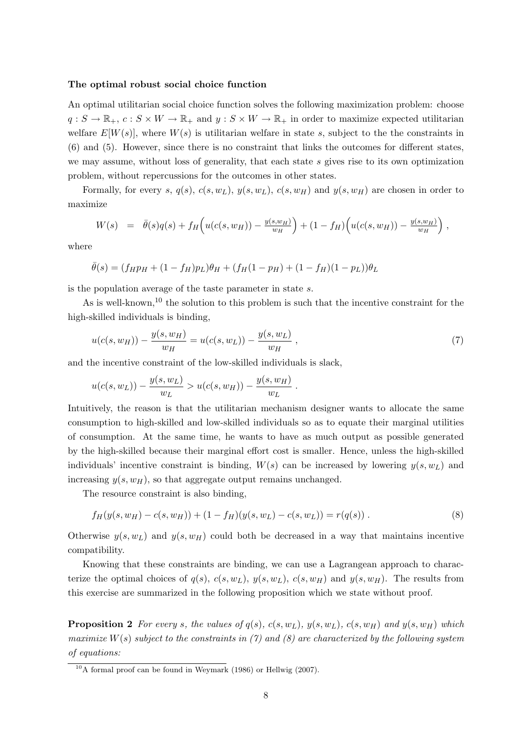### The optimal robust social choice function

An optimal utilitarian social choice function solves the following maximization problem: choose  $q: S \to \mathbb{R}_+, c: S \times W \to \mathbb{R}_+$  and  $y: S \times W \to \mathbb{R}_+$  in order to maximize expected utilitarian welfare  $E[W(s)]$ , where  $W(s)$  is utilitarian welfare in state s, subject to the the constraints in (6) and (5). However, since there is no constraint that links the outcomes for different states, we may assume, without loss of generality, that each state s gives rise to its own optimization problem, without repercussions for the outcomes in other states.

Formally, for every s,  $q(s)$ ,  $c(s, w_L)$ ,  $y(s, w_L)$ ,  $c(s, w_H)$  and  $y(s, w_H)$  are chosen in order to maximize

$$
W(s) = \bar{\theta}(s)q(s) + f_H\left(u(c(s, w_H)) - \frac{y(s, w_H)}{w_H}\right) + (1 - f_H)\left(u(c(s, w_H)) - \frac{y(s, w_H)}{w_H}\right),
$$

where

$$
\bar{\theta}(s) = (f_{H}p_{H} + (1 - f_{H})p_{L})\theta_{H} + (f_{H}(1 - p_{H}) + (1 - f_{H})(1 - p_{L}))\theta_{L}
$$

is the population average of the taste parameter in state s.

As is well-known,<sup>10</sup> the solution to this problem is such that the incentive constraint for the high-skilled individuals is binding,

$$
u(c(s, w_H)) - \frac{y(s, w_H)}{w_H} = u(c(s, w_L)) - \frac{y(s, w_L)}{w_H},
$$
\n(7)

and the incentive constraint of the low-skilled individuals is slack,

$$
u(c(s, w_L)) - \frac{y(s, w_L)}{w_L} > u(c(s, w_H)) - \frac{y(s, w_H)}{w_L}.
$$

Intuitively, the reason is that the utilitarian mechanism designer wants to allocate the same consumption to high-skilled and low-skilled individuals so as to equate their marginal utilities of consumption. At the same time, he wants to have as much output as possible generated by the high-skilled because their marginal effort cost is smaller. Hence, unless the high-skilled individuals' incentive constraint is binding,  $W(s)$  can be increased by lowering  $y(s, w<sub>L</sub>)$  and increasing  $y(s, w_H)$ , so that aggregate output remains unchanged.

The resource constraint is also binding,

$$
f_H(y(s, w_H) - c(s, w_H)) + (1 - f_H)(y(s, w_L) - c(s, w_L)) = r(q(s)).
$$
\n(8)

Otherwise  $y(s, w_L)$  and  $y(s, w_H)$  could both be decreased in a way that maintains incentive compatibility.

Knowing that these constraints are binding, we can use a Lagrangean approach to characterize the optimal choices of  $q(s)$ ,  $c(s, w_L)$ ,  $y(s, w_L)$ ,  $c(s, w_H)$  and  $y(s, w_H)$ . The results from this exercise are summarized in the following proposition which we state without proof.

**Proposition 2** For every s, the values of  $q(s)$ ,  $c(s, w_L)$ ,  $y(s, w_L)$ ,  $c(s, w_H)$  and  $y(s, w_H)$  which maximize  $W(s)$  subject to the constraints in (7) and (8) are characterized by the following system of equations:

 $10<sup>10</sup>$ A formal proof can be found in Weymark (1986) or Hellwig (2007).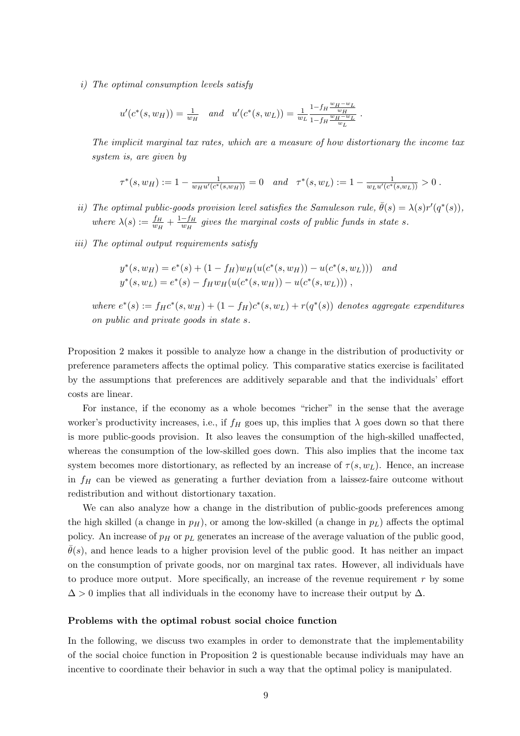i) The optimal consumption levels satisfy

$$
u'(c^*(s, w_H)) = \frac{1}{w_H} \quad and \quad u'(c^*(s, w_L)) = \frac{1}{w_L} \frac{1 - f_H \frac{w_H - w_L}{w_H}}{1 - f_H \frac{w_H - w_L}{w_L}}
$$

The implicit marginal tax rates, which are a measure of how distortionary the income tax system is, are given by

.

$$
\tau^*(s, w_H) := 1 - \frac{1}{w_H u'(c^*(s, w_H))} = 0 \quad and \quad \tau^*(s, w_L) := 1 - \frac{1}{w_L u'(c^*(s, w_L))} > 0.
$$

- ii) The optimal public-goods provision level satisfies the Samuleson rule,  $\bar{\theta}(s) = \lambda(s)r'(q^*(s))$ , where  $\lambda(s) := \frac{f_H}{w_H} + \frac{1 - f_H}{w_H}$  $\frac{-J_{H}}{w_{H}}$  gives the marginal costs of public funds in state s.
- iii) The optimal output requirements satisfy

$$
y^*(s, w_H) = e^*(s) + (1 - f_H)w_H(u(c^*(s, w_H)) - u(c^*(s, w_L))) \text{ and}
$$
  

$$
y^*(s, w_L) = e^*(s) - f_H w_H(u(c^*(s, w_H)) - u(c^*(s, w_L))) ,
$$

where  $e^*(s) := f_H c^*(s, w_H) + (1 - f_H) c^*(s, w_L) + r(q^*(s))$  denotes aggregate expenditures on public and private goods in state s.

Proposition 2 makes it possible to analyze how a change in the distribution of productivity or preference parameters affects the optimal policy. This comparative statics exercise is facilitated by the assumptions that preferences are additively separable and that the individuals' effort costs are linear.

For instance, if the economy as a whole becomes "richer" in the sense that the average worker's productivity increases, i.e., if  $f_H$  goes up, this implies that  $\lambda$  goes down so that there is more public-goods provision. It also leaves the consumption of the high-skilled unaffected, whereas the consumption of the low-skilled goes down. This also implies that the income tax system becomes more distortionary, as reflected by an increase of  $\tau(s, w_L)$ . Hence, an increase in  $f_H$  can be viewed as generating a further deviation from a laissez-faire outcome without redistribution and without distortionary taxation.

We can also analyze how a change in the distribution of public-goods preferences among the high skilled (a change in  $p<sub>H</sub>$ ), or among the low-skilled (a change in  $p<sub>L</sub>$ ) affects the optimal policy. An increase of  $p_H$  or  $p_L$  generates an increase of the average valuation of the public good,  $\theta(s)$ , and hence leads to a higher provision level of the public good. It has neither an impact on the consumption of private goods, nor on marginal tax rates. However, all individuals have to produce more output. More specifically, an increase of the revenue requirement  $r$  by some  $\Delta > 0$  implies that all individuals in the economy have to increase their output by  $\Delta$ .

#### Problems with the optimal robust social choice function

In the following, we discuss two examples in order to demonstrate that the implementability of the social choice function in Proposition 2 is questionable because individuals may have an incentive to coordinate their behavior in such a way that the optimal policy is manipulated.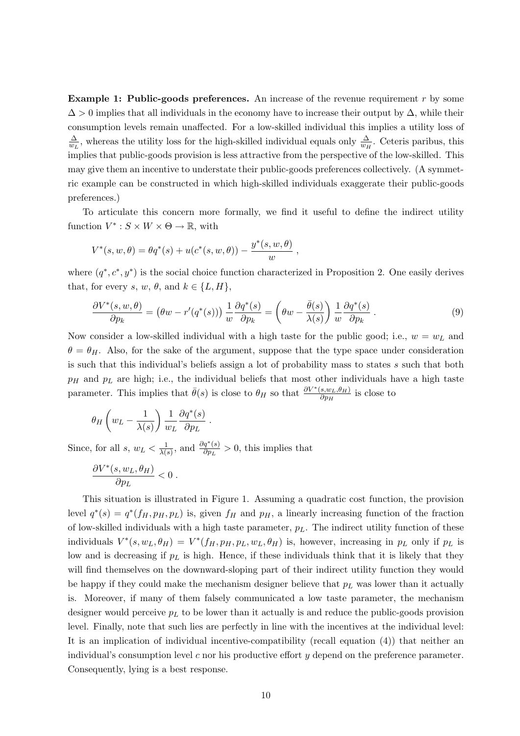**Example 1: Public-goods preferences.** An increase of the revenue requirement  $r$  by some  $\Delta > 0$  implies that all individuals in the economy have to increase their output by  $\Delta$ , while their consumption levels remain unaffected. For a low-skilled individual this implies a utility loss of ∆  $\frac{\Delta}{w_L}$ , whereas the utility loss for the high-skilled individual equals only  $\frac{\Delta}{w_H}$ . Ceteris paribus, this implies that public-goods provision is less attractive from the perspective of the low-skilled. This may give them an incentive to understate their public-goods preferences collectively. (A symmetric example can be constructed in which high-skilled individuals exaggerate their public-goods preferences.)

To articulate this concern more formally, we find it useful to define the indirect utility function  $V^*$ :  $S \times W \times \Theta \rightarrow \mathbb{R}$ , with

$$
V^*(s, w, \theta) = \theta q^*(s) + u(c^*(s, w, \theta)) - \frac{y^*(s, w, \theta)}{w},
$$

where  $(q^*, c^*, y^*)$  is the social choice function characterized in Proposition 2. One easily derives that, for every s, w,  $\theta$ , and  $k \in \{L, H\}$ ,

$$
\frac{\partial V^*(s, w, \theta)}{\partial p_k} = (\theta w - r'(q^*(s))) \frac{1}{w} \frac{\partial q^*(s)}{\partial p_k} = \left(\theta w - \frac{\bar{\theta}(s)}{\lambda(s)}\right) \frac{1}{w} \frac{\partial q^*(s)}{\partial p_k}.
$$
\n(9)

Now consider a low-skilled individual with a high taste for the public good; i.e.,  $w = w<sub>L</sub>$  and  $\theta = \theta_H$ . Also, for the sake of the argument, suppose that the type space under consideration is such that this individual's beliefs assign a lot of probability mass to states  $s$  such that both  $p<sub>H</sub>$  and  $p<sub>L</sub>$  are high; i.e., the individual beliefs that most other individuals have a high taste parameter. This implies that  $\bar{\theta}(s)$  is close to  $\theta_H$  so that  $\frac{\partial V^*(s, w_L, \theta_H)}{\partial p_H}$  is close to

$$
\theta_H\left(w_L-\frac{1}{\lambda(s)}\right)\frac{1}{w_L}\frac{\partial q^*(s)}{\partial p_L}.
$$

Since, for all s,  $w_L < \frac{1}{\lambda}$  $\frac{1}{\lambda(s)}$ , and  $\frac{\partial q^*(s)}{\partial p_L} > 0$ , this implies that

$$
\frac{\partial V^*(s,w_L,\theta_H)}{\partial p_L} < 0 \; .
$$

This situation is illustrated in Figure 1. Assuming a quadratic cost function, the provision level  $q^*(s) = q^*(f_H, p_H, p_L)$  is, given  $f_H$  and  $p_H$ , a linearly increasing function of the fraction of low-skilled individuals with a high taste parameter,  $p<sub>L</sub>$ . The indirect utility function of these individuals  $V^*(s, w_L, \theta_H) = V^*(f_H, p_H, p_L, w_L, \theta_H)$  is, however, increasing in  $p_L$  only if  $p_L$  is low and is decreasing if  $p<sub>L</sub>$  is high. Hence, if these individuals think that it is likely that they will find themselves on the downward-sloping part of their indirect utility function they would be happy if they could make the mechanism designer believe that  $p<sub>L</sub>$  was lower than it actually is. Moreover, if many of them falsely communicated a low taste parameter, the mechanism designer would perceive  $p<sub>L</sub>$  to be lower than it actually is and reduce the public-goods provision level. Finally, note that such lies are perfectly in line with the incentives at the individual level: It is an implication of individual incentive-compatibility (recall equation (4)) that neither an individual's consumption level  $c$  nor his productive effort  $y$  depend on the preference parameter. Consequently, lying is a best response.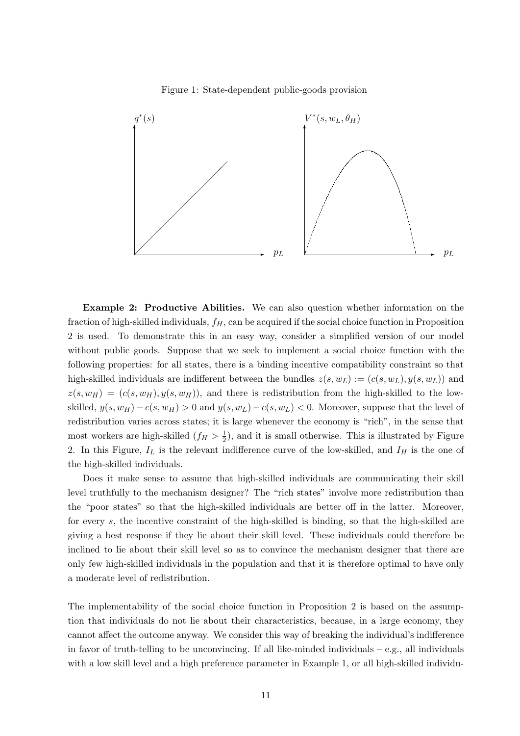Figure 1: State-dependent public-goods provision



Example 2: Productive Abilities. We can also question whether information on the fraction of high-skilled individuals,  $f_H$ , can be acquired if the social choice function in Proposition 2 is used. To demonstrate this in an easy way, consider a simplified version of our model without public goods. Suppose that we seek to implement a social choice function with the following properties: for all states, there is a binding incentive compatibility constraint so that high-skilled individuals are indifferent between the bundles  $z(s, w_L) := (c(s, w_L), y(s, w_L))$  and  $z(s, w_H) = (c(s, w_H), y(s, w_H))$ , and there is redistribution from the high-skilled to the lowskilled,  $y(s, w_H) - c(s, w_H) > 0$  and  $y(s, w_L) - c(s, w_L) < 0$ . Moreover, suppose that the level of redistribution varies across states; it is large whenever the economy is "rich", in the sense that most workers are high-skilled  $(f_H > \frac{1}{2})$  $\frac{1}{2}$ , and it is small otherwise. This is illustrated by Figure 2. In this Figure,  $I_L$  is the relevant indifference curve of the low-skilled, and  $I_H$  is the one of the high-skilled individuals.

Does it make sense to assume that high-skilled individuals are communicating their skill level truthfully to the mechanism designer? The "rich states" involve more redistribution than the "poor states" so that the high-skilled individuals are better off in the latter. Moreover, for every s, the incentive constraint of the high-skilled is binding, so that the high-skilled are giving a best response if they lie about their skill level. These individuals could therefore be inclined to lie about their skill level so as to convince the mechanism designer that there are only few high-skilled individuals in the population and that it is therefore optimal to have only a moderate level of redistribution.

The implementability of the social choice function in Proposition 2 is based on the assumption that individuals do not lie about their characteristics, because, in a large economy, they cannot affect the outcome anyway. We consider this way of breaking the individual's indifference in favor of truth-telling to be unconvincing. If all like-minded individuals – e.g., all individuals with a low skill level and a high preference parameter in Example 1, or all high-skilled individu-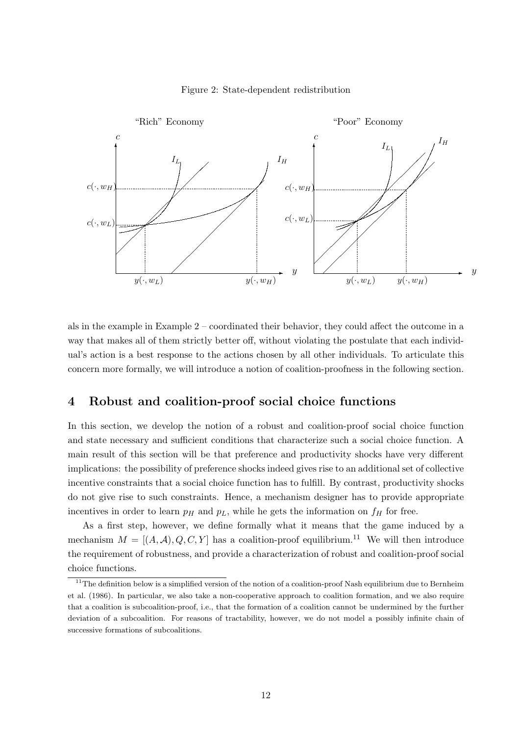



als in the example in Example 2 – coordinated their behavior, they could affect the outcome in a way that makes all of them strictly better off, without violating the postulate that each individual's action is a best response to the actions chosen by all other individuals. To articulate this concern more formally, we will introduce a notion of coalition-proofness in the following section.

# 4 Robust and coalition-proof social choice functions

In this section, we develop the notion of a robust and coalition-proof social choice function and state necessary and sufficient conditions that characterize such a social choice function. A main result of this section will be that preference and productivity shocks have very different implications: the possibility of preference shocks indeed gives rise to an additional set of collective incentive constraints that a social choice function has to fulfill. By contrast, productivity shocks do not give rise to such constraints. Hence, a mechanism designer has to provide appropriate incentives in order to learn  $p<sub>H</sub>$  and  $p<sub>L</sub>$ , while he gets the information on  $f<sub>H</sub>$  for free.

As a first step, however, we define formally what it means that the game induced by a mechanism  $M = [(A, \mathcal{A}), Q, C, Y]$  has a coalition-proof equilibrium.<sup>11</sup> We will then introduce the requirement of robustness, and provide a characterization of robust and coalition-proof social choice functions.

 $11$ The definition below is a simplified version of the notion of a coalition-proof Nash equilibrium due to Bernheim et al. (1986). In particular, we also take a non-cooperative approach to coalition formation, and we also require that a coalition is subcoalition-proof, i.e., that the formation of a coalition cannot be undermined by the further deviation of a subcoalition. For reasons of tractability, however, we do not model a possibly infinite chain of successive formations of subcoalitions.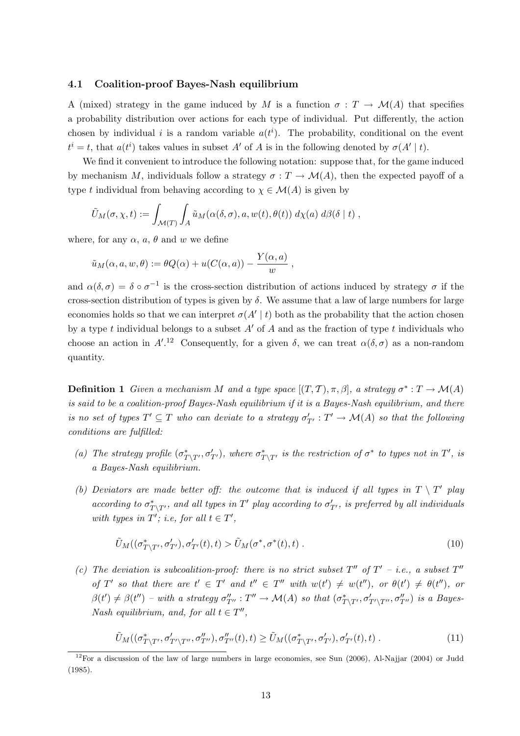### 4.1 Coalition-proof Bayes-Nash equilibrium

A (mixed) strategy in the game induced by M is a function  $\sigma: T \to \mathcal{M}(A)$  that specifies a probability distribution over actions for each type of individual. Put differently, the action chosen by individual i is a random variable  $a(t^i)$ . The probability, conditional on the event  $t^{i} = t$ , that  $a(t^{i})$  takes values in subset A' of A is in the following denoted by  $\sigma(A' | t)$ .

We find it convenient to introduce the following notation: suppose that, for the game induced by mechanism M, individuals follow a strategy  $\sigma : T \to M(A)$ , then the expected payoff of a type t individual from behaving according to  $\chi \in \mathcal{M}(A)$  is given by

$$
\tilde{U}_M(\sigma,\chi,t) := \int_{\mathcal{M}(T)} \int_A \tilde{u}_M(\alpha(\delta,\sigma),a,w(t),\theta(t)) \, d\chi(a) \, d\beta(\delta \mid t) ,
$$

where, for any  $\alpha$ ,  $a$ ,  $\theta$  and  $w$  we define

$$
\tilde{u}_M(\alpha, a, w, \theta) := \theta Q(\alpha) + u(C(\alpha, a)) - \frac{Y(\alpha, a)}{w},
$$

and  $\alpha(\delta, \sigma) = \delta \circ \sigma^{-1}$  is the cross-section distribution of actions induced by strategy  $\sigma$  if the cross-section distribution of types is given by  $\delta$ . We assume that a law of large numbers for large economies holds so that we can interpret  $\sigma(A' | t)$  both as the probability that the action chosen by a type t individual belongs to a subset  $A'$  of A and as the fraction of type t individuals who choose an action in  $A'^{12}$  Consequently, for a given  $\delta$ , we can treat  $\alpha(\delta, \sigma)$  as a non-random quantity.

**Definition 1** Given a mechanism M and a type space  $[(T, \mathcal{T}), \pi, \beta]$ , a strategy  $\sigma^* : T \to \mathcal{M}(A)$ is said to be a coalition-proof Bayes-Nash equilibrium if it is a Bayes-Nash equilibrium, and there is no set of types  $T' \subseteq T$  who can deviate to a strategy  $\sigma'_{T'} : T' \to \mathcal{M}(A)$  so that the following conditions are fulfilled:

- (a) The strategy profile  $(\sigma^*_{T\setminus T'}, \sigma'_{T'})$ , where  $\sigma^*_{T\setminus T'}$  is the restriction of  $\sigma^*$  to types not in  $T'$ , is a Bayes-Nash equilibrium.
- (b) Deviators are made better off: the outcome that is induced if all types in  $T \setminus T'$  play according to  $\sigma^*_{T\setminus T'}$ , and all types in T' play according to  $\sigma'_{T'}$ , is preferred by all individuals with types in  $T'$ ; i.e, for all  $t \in T'$ ,

$$
\tilde{U}_M((\sigma^*_{T\setminus T'}, \sigma'_{T'}), \sigma'_{T'}(t), t) > \tilde{U}_M(\sigma^*, \sigma^*(t), t) . \tag{10}
$$

(c) The deviation is subcoalition-proof: there is no strict subset  $T''$  of  $T'$  - i.e., a subset  $T''$ of T' so that there are  $t' \in T'$  and  $t'' \in T''$  with  $w(t') \neq w(t'')$ , or  $\theta(t') \neq \theta(t'')$ , or  $\beta(t') \neq \beta(t'')$  – with a strategy  $\sigma''_{T''}: T'' \to \mathcal{M}(A)$  so that  $(\sigma^*_{T\setminus T''}, \sigma'_{T'\setminus T''}, \sigma''_{T''})$  is a Bayes-Nash equilibrium, and, for all  $t \in T''$ ,

$$
\tilde{U}_M((\sigma^*_{T\setminus T'}, \sigma'_{T'\setminus T''}, \sigma''_{T''}), \sigma''_{T''}(t), t) \ge \tilde{U}_M((\sigma^*_{T\setminus T'}, \sigma'_{T'}), \sigma'_{T'}(t), t) \tag{11}
$$

 $12$ For a discussion of the law of large numbers in large economies, see Sun (2006), Al-Najjar (2004) or Judd (1985).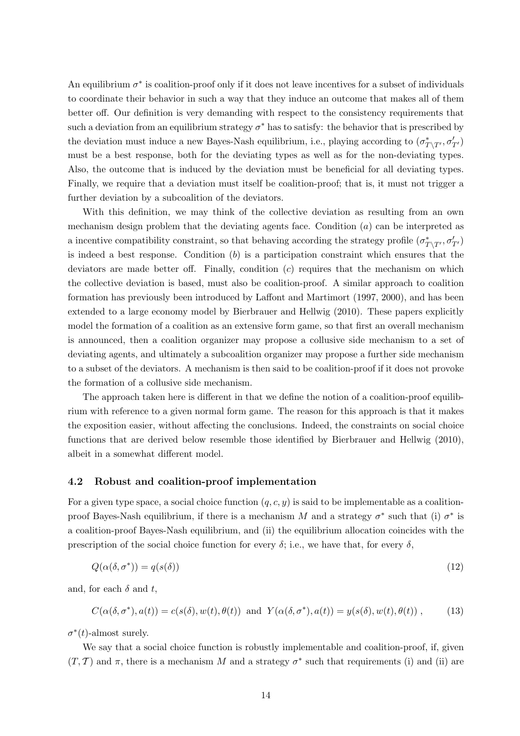An equilibrium  $\sigma^*$  is coalition-proof only if it does not leave incentives for a subset of individuals to coordinate their behavior in such a way that they induce an outcome that makes all of them better off. Our definition is very demanding with respect to the consistency requirements that such a deviation from an equilibrium strategy  $\sigma^*$  has to satisfy: the behavior that is prescribed by the deviation must induce a new Bayes-Nash equilibrium, i.e., playing according to  $(\sigma^*_{T\setminus T'}, \sigma'_{T'})$ must be a best response, both for the deviating types as well as for the non-deviating types. Also, the outcome that is induced by the deviation must be beneficial for all deviating types. Finally, we require that a deviation must itself be coalition-proof; that is, it must not trigger a further deviation by a subcoalition of the deviators.

With this definition, we may think of the collective deviation as resulting from an own mechanism design problem that the deviating agents face. Condition  $(a)$  can be interpreted as a incentive compatibility constraint, so that behaving according the strategy profile  $(\sigma_{T\setminus T'}^*,\sigma_{T'}')$ is indeed a best response. Condition  $(b)$  is a participation constraint which ensures that the deviators are made better off. Finally, condition  $(c)$  requires that the mechanism on which the collective deviation is based, must also be coalition-proof. A similar approach to coalition formation has previously been introduced by Laffont and Martimort (1997, 2000), and has been extended to a large economy model by Bierbrauer and Hellwig (2010). These papers explicitly model the formation of a coalition as an extensive form game, so that first an overall mechanism is announced, then a coalition organizer may propose a collusive side mechanism to a set of deviating agents, and ultimately a subcoalition organizer may propose a further side mechanism to a subset of the deviators. A mechanism is then said to be coalition-proof if it does not provoke the formation of a collusive side mechanism.

The approach taken here is different in that we define the notion of a coalition-proof equilibrium with reference to a given normal form game. The reason for this approach is that it makes the exposition easier, without affecting the conclusions. Indeed, the constraints on social choice functions that are derived below resemble those identified by Bierbrauer and Hellwig (2010), albeit in a somewhat different model.

# 4.2 Robust and coalition-proof implementation

For a given type space, a social choice function  $(q, c, y)$  is said to be implementable as a coalitionproof Bayes-Nash equilibrium, if there is a mechanism M and a strategy  $\sigma^*$  such that (i)  $\sigma^*$  is a coalition-proof Bayes-Nash equilibrium, and (ii) the equilibrium allocation coincides with the prescription of the social choice function for every  $\delta$ ; i.e., we have that, for every  $\delta$ ,

$$
Q(\alpha(\delta, \sigma^*)) = q(s(\delta))
$$
\n(12)

and, for each  $\delta$  and t,

$$
C(\alpha(\delta,\sigma^*),a(t)) = c(s(\delta),w(t),\theta(t)) \text{ and } Y(\alpha(\delta,\sigma^*),a(t)) = y(s(\delta),w(t),\theta(t)), \qquad (13)
$$

 $\sigma^*(t)$ -almost surely.

We say that a social choice function is robustly implementable and coalition-proof, if, given  $(T, \mathcal{T})$  and  $\pi$ , there is a mechanism M and a strategy  $\sigma^*$  such that requirements (i) and (ii) are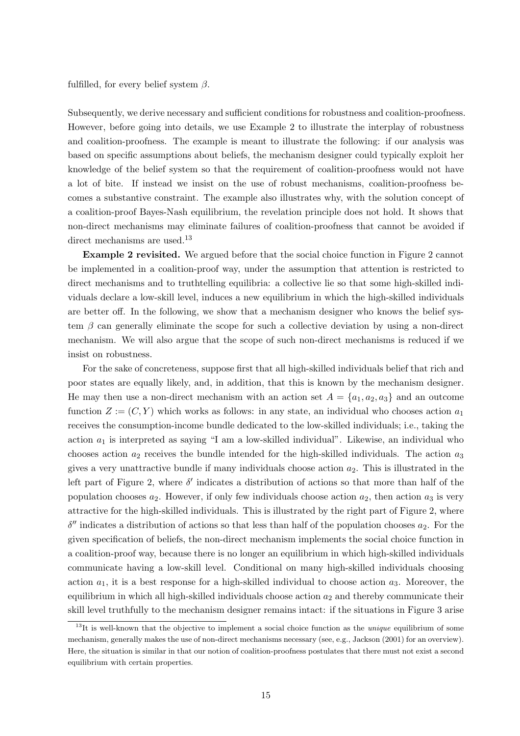fulfilled, for every belief system  $\beta$ .

Subsequently, we derive necessary and sufficient conditions for robustness and coalition-proofness. However, before going into details, we use Example 2 to illustrate the interplay of robustness and coalition-proofness. The example is meant to illustrate the following: if our analysis was based on specific assumptions about beliefs, the mechanism designer could typically exploit her knowledge of the belief system so that the requirement of coalition-proofness would not have a lot of bite. If instead we insist on the use of robust mechanisms, coalition-proofness becomes a substantive constraint. The example also illustrates why, with the solution concept of a coalition-proof Bayes-Nash equilibrium, the revelation principle does not hold. It shows that non-direct mechanisms may eliminate failures of coalition-proofness that cannot be avoided if direct mechanisms are used.<sup>13</sup>

Example 2 revisited. We argued before that the social choice function in Figure 2 cannot be implemented in a coalition-proof way, under the assumption that attention is restricted to direct mechanisms and to truthtelling equilibria: a collective lie so that some high-skilled individuals declare a low-skill level, induces a new equilibrium in which the high-skilled individuals are better off. In the following, we show that a mechanism designer who knows the belief system  $\beta$  can generally eliminate the scope for such a collective deviation by using a non-direct mechanism. We will also argue that the scope of such non-direct mechanisms is reduced if we insist on robustness.

For the sake of concreteness, suppose first that all high-skilled individuals belief that rich and poor states are equally likely, and, in addition, that this is known by the mechanism designer. He may then use a non-direct mechanism with an action set  $A = \{a_1, a_2, a_3\}$  and an outcome function  $Z := (C, Y)$  which works as follows: in any state, an individual who chooses action  $a_1$ receives the consumption-income bundle dedicated to the low-skilled individuals; i.e., taking the action  $a_1$  is interpreted as saying "I am a low-skilled individual". Likewise, an individual who chooses action  $a_2$  receives the bundle intended for the high-skilled individuals. The action  $a_3$ gives a very unattractive bundle if many individuals choose action  $a_2$ . This is illustrated in the left part of Figure 2, where  $\delta'$  indicates a distribution of actions so that more than half of the population chooses  $a_2$ . However, if only few individuals choose action  $a_2$ , then action  $a_3$  is very attractive for the high-skilled individuals. This is illustrated by the right part of Figure 2, where  $\delta''$  indicates a distribution of actions so that less than half of the population chooses  $a_2$ . For the given specification of beliefs, the non-direct mechanism implements the social choice function in a coalition-proof way, because there is no longer an equilibrium in which high-skilled individuals communicate having a low-skill level. Conditional on many high-skilled individuals choosing action  $a_1$ , it is a best response for a high-skilled individual to choose action  $a_3$ . Moreover, the equilibrium in which all high-skilled individuals choose action  $a_2$  and thereby communicate their skill level truthfully to the mechanism designer remains intact: if the situations in Figure 3 arise

 $13$ It is well-known that the objective to implement a social choice function as the *unique* equilibrium of some mechanism, generally makes the use of non-direct mechanisms necessary (see, e.g., Jackson (2001) for an overview). Here, the situation is similar in that our notion of coalition-proofness postulates that there must not exist a second equilibrium with certain properties.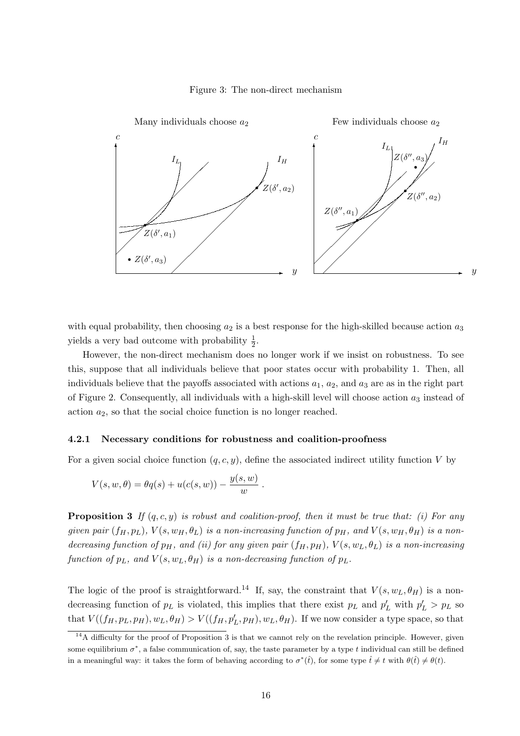



with equal probability, then choosing  $a_2$  is a best response for the high-skilled because action  $a_3$ yields a very bad outcome with probability  $\frac{1}{2}$ .

However, the non-direct mechanism does no longer work if we insist on robustness. To see this, suppose that all individuals believe that poor states occur with probability 1. Then, all individuals believe that the payoffs associated with actions  $a_1, a_2$ , and  $a_3$  are as in the right part of Figure 2. Consequently, all individuals with a high-skill level will choose action  $a_3$  instead of action  $a_2$ , so that the social choice function is no longer reached.

### 4.2.1 Necessary conditions for robustness and coalition-proofness

For a given social choice function  $(q, c, y)$ , define the associated indirect utility function V by

$$
V(s, w, \theta) = \theta q(s) + u(c(s, w)) - \frac{y(s, w)}{w}.
$$

**Proposition 3** If  $(q, c, y)$  is robust and coalition-proof, then it must be true that: (i) For any given pair  $(f_H, p_L)$ ,  $V(s, w_H, \theta_L)$  is a non-increasing function of  $p_H$ , and  $V(s, w_H, \theta_H)$  is a nondecreasing function of  $p_H$ , and (ii) for any given pair  $(f_H, p_H)$ ,  $V(s, w_L, \theta_L)$  is a non-increasing function of  $p_L$ , and  $V(s, w_L, \theta_H)$  is a non-decreasing function of  $p_L$ .

The logic of the proof is straightforward.<sup>14</sup> If, say, the constraint that  $V(s, w_L, \theta_H)$  is a nondecreasing function of  $p_L$  is violated, this implies that there exist  $p_L$  and  $p'_L$  with  $p'_L > p_L$  so that  $V((f_H, p_L, p_H), w_L, \theta_H) > V((f_H, p'_L, p_H), w_L, \theta_H)$ . If we now consider a type space, so that

 $14A$  difficulty for the proof of Proposition 3 is that we cannot rely on the revelation principle. However, given some equilibrium  $\sigma^*$ , a false communication of, say, the taste parameter by a type t individual can still be defined in a meaningful way: it takes the form of behaving according to  $\sigma^*(\hat{t})$ , for some type  $\hat{t} \neq t$  with  $\theta(\hat{t}) \neq \theta(t)$ .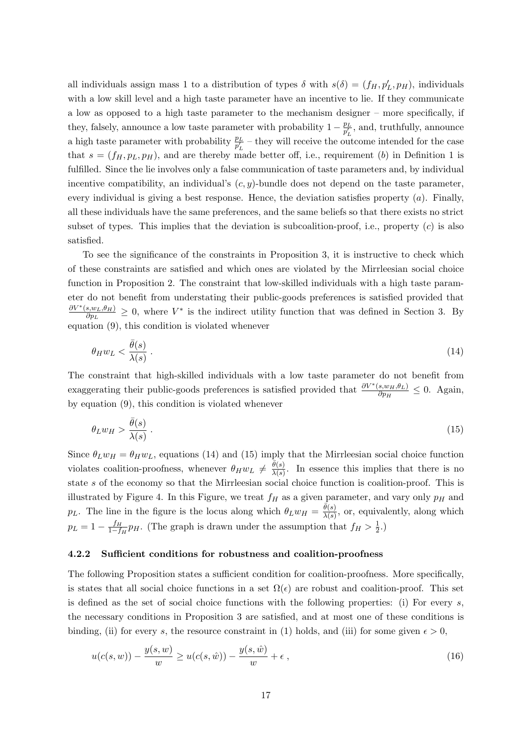all individuals assign mass 1 to a distribution of types  $\delta$  with  $s(\delta) = (f_H, p'_L, p_H)$ , individuals with a low skill level and a high taste parameter have an incentive to lie. If they communicate a low as opposed to a high taste parameter to the mechanism designer – more specifically, if they, falsely, announce a low taste parameter with probability  $1 - \frac{p_L}{n'}$  $\frac{p_L}{p'_L}$ , and, truthfully, announce a high taste parameter with probability  $\frac{p_L}{p'_L}$  – they will receive the outcome intended for the case that  $s = (f_H, p_L, p_H)$ , and are thereby made better off, i.e., requirement (b) in Definition 1 is fulfilled. Since the lie involves only a false communication of taste parameters and, by individual incentive compatibility, an individual's  $(c, y)$ -bundle does not depend on the taste parameter, every individual is giving a best response. Hence, the deviation satisfies property  $(a)$ . Finally, all these individuals have the same preferences, and the same beliefs so that there exists no strict subset of types. This implies that the deviation is subcoalition-proof, i.e., property  $(c)$  is also satisfied.

To see the significance of the constraints in Proposition 3, it is instructive to check which of these constraints are satisfied and which ones are violated by the Mirrleesian social choice function in Proposition 2. The constraint that low-skilled individuals with a high taste parameter do not benefit from understating their public-goods preferences is satisfied provided that  $\partial V^*(s, w_L, \theta_H)$  $\frac{s,w_L,\theta_H}{\partial p_L} \geq 0$ , where  $V^*$  is the indirect utility function that was defined in Section 3. By equation (9), this condition is violated whenever

$$
\theta_H w_L < \frac{\bar{\theta}(s)}{\lambda(s)} \tag{14}
$$

The constraint that high-skilled individuals with a low taste parameter do not benefit from exaggerating their public-goods preferences is satisfied provided that  $\frac{\partial V^*(s,w_H,\theta_L)}{\partial p_H} \leq 0$ . Again, by equation (9), this condition is violated whenever

$$
\theta_L w_H > \frac{\bar{\theta}(s)}{\lambda(s)} \,. \tag{15}
$$

Since  $\theta_L w_H = \theta_H w_L$ , equations (14) and (15) imply that the Mirrleesian social choice function violates coalition-proofness, whenever  $\theta_H w_L \neq \frac{\bar{\theta}(s)}{\lambda(s)}$  $\frac{\theta(s)}{\lambda(s)}$ . In essence this implies that there is no state s of the economy so that the Mirrleesian social choice function is coalition-proof. This is illustrated by Figure 4. In this Figure, we treat  $f_H$  as a given parameter, and vary only  $p_H$  and p<sub>L</sub>. The line in the figure is the locus along which  $\theta_L w_H = \frac{\bar{\theta}(s)}{\lambda(s)}$  $\frac{\theta(s)}{\lambda(s)}$ , or, equivalently, along which  $p_L = 1 - \frac{f_H}{1 - f}$  $\frac{f_H}{1-f_H}$  $p_H$ . (The graph is drawn under the assumption that  $f_H > \frac{1}{2}$  $(\frac{1}{2},)$ 

### 4.2.2 Sufficient conditions for robustness and coalition-proofness

The following Proposition states a sufficient condition for coalition-proofness. More specifically, is states that all social choice functions in a set  $\Omega(\epsilon)$  are robust and coalition-proof. This set is defined as the set of social choice functions with the following properties: (i) For every  $s$ , the necessary conditions in Proposition 3 are satisfied, and at most one of these conditions is binding, (ii) for every s, the resource constraint in (1) holds, and (iii) for some given  $\epsilon > 0$ ,

$$
u(c(s, w)) - \frac{y(s, w)}{w} \ge u(c(s, \hat{w})) - \frac{y(s, \hat{w})}{w} + \epsilon,
$$
\n(16)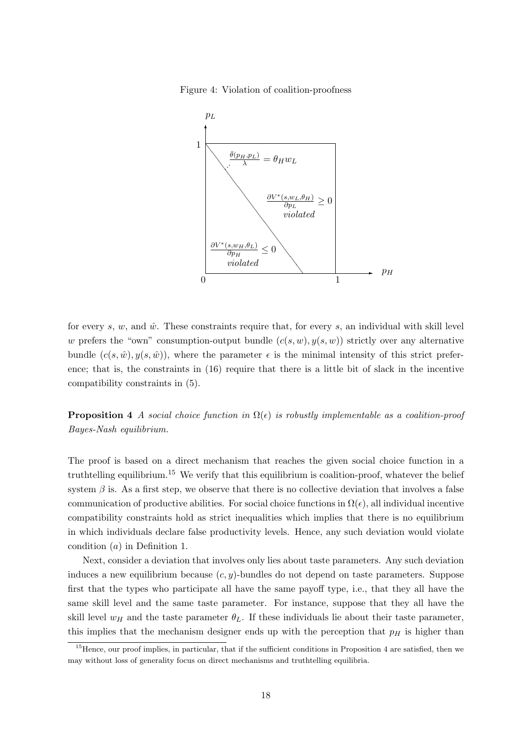Figure 4: Violation of coalition-proofness



for every s, w, and  $\hat{w}$ . These constraints require that, for every s, an individual with skill level w prefers the "own" consumption-output bundle  $(c(s, w), y(s, w))$  strictly over any alternative bundle  $(c(s, \hat{w}), y(s, \hat{w}))$ , where the parameter  $\epsilon$  is the minimal intensity of this strict preference; that is, the constraints in (16) require that there is a little bit of slack in the incentive compatibility constraints in (5).

**Proposition 4** A social choice function in  $\Omega(\epsilon)$  is robustly implementable as a coalition-proof Bayes-Nash equilibrium.

The proof is based on a direct mechanism that reaches the given social choice function in a truthtelling equilibrium.<sup>15</sup> We verify that this equilibrium is coalition-proof, whatever the belief system  $\beta$  is. As a first step, we observe that there is no collective deviation that involves a false communication of productive abilities. For social choice functions in  $\Omega(\epsilon)$ , all individual incentive compatibility constraints hold as strict inequalities which implies that there is no equilibrium in which individuals declare false productivity levels. Hence, any such deviation would violate condition (a) in Definition 1.

Next, consider a deviation that involves only lies about taste parameters. Any such deviation induces a new equilibrium because  $(c, y)$ -bundles do not depend on taste parameters. Suppose first that the types who participate all have the same payoff type, i.e., that they all have the same skill level and the same taste parameter. For instance, suppose that they all have the skill level  $w_H$  and the taste parameter  $\theta_L$ . If these individuals lie about their taste parameter, this implies that the mechanism designer ends up with the perception that  $p<sub>H</sub>$  is higher than

 $15$ Hence, our proof implies, in particular, that if the sufficient conditions in Proposition 4 are satisfied, then we may without loss of generality focus on direct mechanisms and truthtelling equilibria.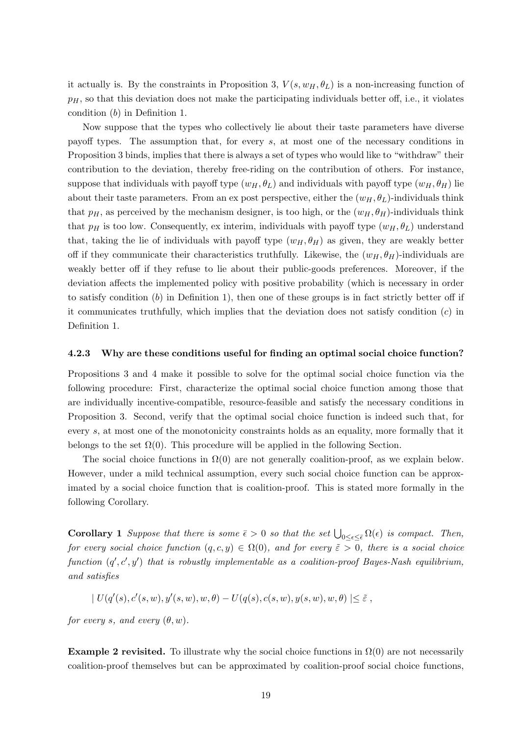it actually is. By the constraints in Proposition 3,  $V(s, w_H, \theta_L)$  is a non-increasing function of  $p<sub>H</sub>$ , so that this deviation does not make the participating individuals better off, i.e., it violates condition (b) in Definition 1.

Now suppose that the types who collectively lie about their taste parameters have diverse payoff types. The assumption that, for every s, at most one of the necessary conditions in Proposition 3 binds, implies that there is always a set of types who would like to "withdraw" their contribution to the deviation, thereby free-riding on the contribution of others. For instance, suppose that individuals with payoff type  $(w_H, \theta_L)$  and individuals with payoff type  $(w_H, \theta_H)$  lie about their taste parameters. From an ex post perspective, either the  $(w_H, \theta_L)$ -individuals think that  $p<sub>H</sub>$ , as perceived by the mechanism designer, is too high, or the  $(w<sub>H</sub>, \theta<sub>H</sub>)$ -individuals think that  $p_H$  is too low. Consequently, ex interim, individuals with payoff type  $(w_H, \theta_L)$  understand that, taking the lie of individuals with payoff type  $(w_H, \theta_H)$  as given, they are weakly better off if they communicate their characteristics truthfully. Likewise, the  $(w_H, \theta_H)$ -individuals are weakly better off if they refuse to lie about their public-goods preferences. Moreover, if the deviation affects the implemented policy with positive probability (which is necessary in order to satisfy condition  $(b)$  in Definition 1), then one of these groups is in fact strictly better off if it communicates truthfully, which implies that the deviation does not satisfy condition  $(c)$  in Definition 1.

#### 4.2.3 Why are these conditions useful for finding an optimal social choice function?

Propositions 3 and 4 make it possible to solve for the optimal social choice function via the following procedure: First, characterize the optimal social choice function among those that are individually incentive-compatible, resource-feasible and satisfy the necessary conditions in Proposition 3. Second, verify that the optimal social choice function is indeed such that, for every s, at most one of the monotonicity constraints holds as an equality, more formally that it belongs to the set  $\Omega(0)$ . This procedure will be applied in the following Section.

The social choice functions in  $\Omega(0)$  are not generally coalition-proof, as we explain below. However, under a mild technical assumption, every such social choice function can be approximated by a social choice function that is coalition-proof. This is stated more formally in the following Corollary.

**Corollary 1** Suppose that there is some  $\bar{\epsilon} > 0$  so that the set  $\bigcup_{0 \leq \epsilon \leq \bar{\epsilon}} \Omega(\epsilon)$  is compact. Then, for every social choice function  $(q, c, y) \in \Omega(0)$ , and for every  $\tilde{\varepsilon} > 0$ , there is a social choice function  $(q', c', y')$  that is robustly implementable as a coalition-proof Bayes-Nash equilibrium, and satisfies

$$
| U(q'(s), c'(s, w), y'(s, w), w, \theta) - U(q(s), c(s, w), y(s, w), w, \theta) | \leq \tilde{\varepsilon} ,
$$

for every s, and every  $(\theta, w)$ .

**Example 2 revisited.** To illustrate why the social choice functions in  $\Omega(0)$  are not necessarily coalition-proof themselves but can be approximated by coalition-proof social choice functions,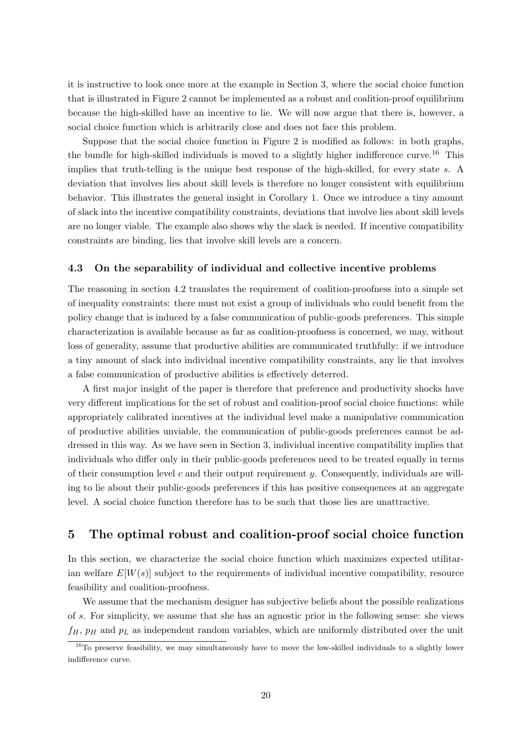it is instructive to look once more at the example in Section 3, where the social choice function that is illustrated in Figure 2 cannot be implemented as a robust and coalition-proof equilibrium because the high-skilled have an incentive to lie. We will now argue that there is, however, a social choice function which is arbitrarily close and does not face this problem.

Suppose that the social choice function in Figure 2 is modified as follows: in both graphs, the bundle for high-skilled individuals is moved to a slightly higher indifference curve.<sup>16</sup> This implies that truth-telling is the unique best response of the high-skilled, for every state s. A deviation that involves lies about skill levels is therefore no longer consistent with equilibrium behavior. This illustrates the general insight in Corollary 1. Once we introduce a tiny amount of slack into the incentive compatibility constraints, deviations that involve lies about skill levels are no longer viable. The example also shows why the slack is needed. If incentive compatibility constraints are binding, lies that involve skill levels are a concern.

## 4.3 On the separability of individual and collective incentive problems

The reasoning in section 4.2 translates the requirement of coalition-proofness into a simple set of inequality constraints: there must not exist a group of individuals who could benefit from the policy change that is induced by a false communication of public-goods preferences. This simple characterization is available because as far as coalition-proofness is concerned, we may, without loss of generality, assume that productive abilities are communicated truthfully: if we introduce a tiny amount of slack into individual incentive compatibility constraints, any lie that involves a false communication of productive abilities is effectively deterred.

A first major insight of the paper is therefore that preference and productivity shocks have very different implications for the set of robust and coalition-proof social choice functions: while appropriately calibrated incentives at the individual level make a manipulative communication of productive abilities unviable, the communication of public-goods preferences cannot be addressed in this way. As we have seen in Section 3, individual incentive compatibility implies that individuals who differ only in their public-goods preferences need to be treated equally in terms of their consumption level c and their output requirement  $y$ . Consequently, individuals are willing to lie about their public-goods preferences if this has positive consequences at an aggregate level. A social choice function therefore has to be such that those lies are unattractive.

# 5 The optimal robust and coalition-proof social choice function

In this section, we characterize the social choice function which maximizes expected utilitarian welfare  $E[W(s)]$  subject to the requirements of individual incentive compatibility, resource feasibility and coalition-proofness.

We assume that the mechanism designer has subjective beliefs about the possible realizations of s. For simplicity, we assume that she has an agnostic prior in the following sense: she views  $f<sub>H</sub>$ ,  $p<sub>H</sub>$  and  $p<sub>L</sub>$  as independent random variables, which are uniformly distributed over the unit

 $16$ To preserve feasibility, we may simultaneously have to move the low-skilled individuals to a slightly lower indifference curve.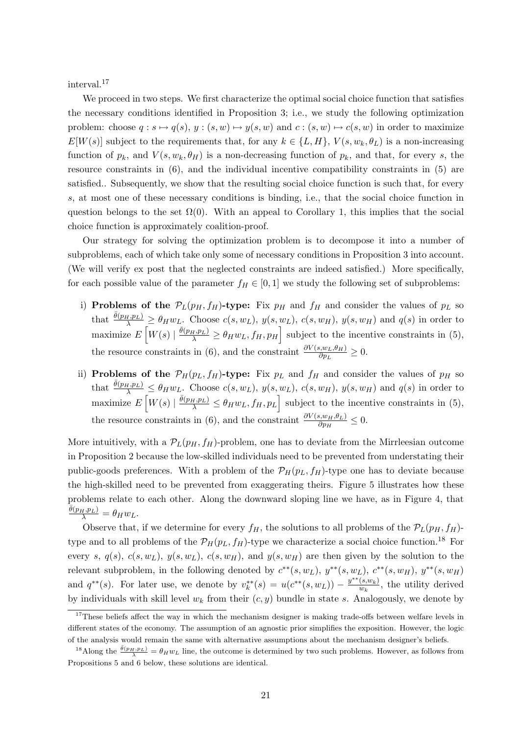interval.<sup>17</sup>

We proceed in two steps. We first characterize the optimal social choice function that satisfies the necessary conditions identified in Proposition 3; i.e., we study the following optimization problem: choose  $q : s \mapsto q(s), y : (s, w) \mapsto y(s, w)$  and  $c : (s, w) \mapsto c(s, w)$  in order to maximize  $E[W(s)]$  subject to the requirements that, for any  $k \in \{L, H\}$ ,  $V(s, w_k, \theta_L)$  is a non-increasing function of  $p_k$ , and  $V(s, w_k, \theta_H)$  is a non-decreasing function of  $p_k$ , and that, for every s, the resource constraints in (6), and the individual incentive compatibility constraints in (5) are satisfied.. Subsequently, we show that the resulting social choice function is such that, for every s, at most one of these necessary conditions is binding, i.e., that the social choice function in question belongs to the set  $\Omega(0)$ . With an appeal to Corollary 1, this implies that the social choice function is approximately coalition-proof.

Our strategy for solving the optimization problem is to decompose it into a number of subproblems, each of which take only some of necessary conditions in Proposition 3 into account. (We will verify ex post that the neglected constraints are indeed satisfied.) More specifically, for each possible value of the parameter  $f_H \in [0, 1]$  we study the following set of subproblems:

- i) Problems of the  $\mathcal{P}_L(p_H, f_H)$ -type: Fix  $p_H$  and  $f_H$  and consider the values of  $p_L$  so that  $\frac{\bar{\theta}(p_H, p_L)}{\lambda} \ge \theta_H w_L$ . Choose  $c(s, w_L)$ ,  $y(s, w_L)$ ,  $c(s, w_H)$ ,  $y(s, w_H)$  and  $q(s)$  in order to maximize  $E\left[W(s) \mid \frac{\bar{\theta}(p_H, p_L)}{\lambda} \ge \theta_H w_L, f_H, p_H\right]$  subject to the incentive constraints in (5), the resource constraints in (6), and the constraint  $\frac{\partial V(s,w_L,\theta_H)}{\partial p_L} \geq 0$ .
- ii) Problems of the  $\mathcal{P}_H(p_L, f_H)$ -type: Fix  $p_L$  and  $f_H$  and consider the values of  $p_H$  so that  $\frac{\bar{\theta}(p_H, p_L)}{\lambda} \leq \theta_H w_L$ . Choose  $c(s, w_L)$ ,  $y(s, w_L)$ ,  $c(s, w_H)$ ,  $y(s, w_H)$  and  $q(s)$  in order to maximize  $E\left[W(s) \mid \frac{\bar{\theta}(p_H, p_L)}{\lambda} \leq \theta_H w_L, f_H, p_L\right]$  subject to the incentive constraints in (5), the resource constraints in (6), and the constraint  $\frac{\partial V(s, w_H, \theta_L)}{\partial p_H} \leq 0$ .

More intuitively, with a  $P_L(p_H, f_H)$ -problem, one has to deviate from the Mirrleesian outcome in Proposition 2 because the low-skilled individuals need to be prevented from understating their public-goods preferences. With a problem of the  $\mathcal{P}_H(p_L, f_H)$ -type one has to deviate because the high-skilled need to be prevented from exaggerating theirs. Figure 5 illustrates how these problems relate to each other. Along the downward sloping line we have, as in Figure 4, that  $\frac{\bar{\theta}(p_H, p_L)}{\lambda} = \theta_H w_L.$ 

Observe that, if we determine for every  $f_H$ , the solutions to all problems of the  $\mathcal{P}_L(p_H, f_H)$ type and to all problems of the  $\mathcal{P}_H(p_L, f_H)$ -type we characterize a social choice function.<sup>18</sup> For every s,  $q(s)$ ,  $c(s, w_L)$ ,  $y(s, w_L)$ ,  $c(s, w_H)$ , and  $y(s, w_H)$  are then given by the solution to the relevant subproblem, in the following denoted by  $c^{**}(s, w_L)$ ,  $y^{**}(s, w_L)$ ,  $c^{**}(s, w_H)$ ,  $y^{**}(s, w_H)$ and  $q^{**}(s)$ . For later use, we denote by  $v_k^{**}(s) = u(c^{**}(s, w_L)) - \frac{y^{**}(s, w_k)}{w_k}$  $\frac{(s,w_k)}{w_k}$ , the utility derived by individuals with skill level  $w_k$  from their  $(c, y)$  bundle in state s. Analogously, we denote by

<sup>&</sup>lt;sup>17</sup>These beliefs affect the way in which the mechanism designer is making trade-offs between welfare levels in different states of the economy. The assumption of an agnostic prior simplifies the exposition. However, the logic of the analysis would remain the same with alternative assumptions about the mechanism designer's beliefs.

<sup>&</sup>lt;sup>18</sup>Along the  $\frac{\bar{\theta}(p_H, p_L)}{\lambda} = \theta_H w_L$  line, the outcome is determined by two such problems. However, as follows from Propositions 5 and 6 below, these solutions are identical.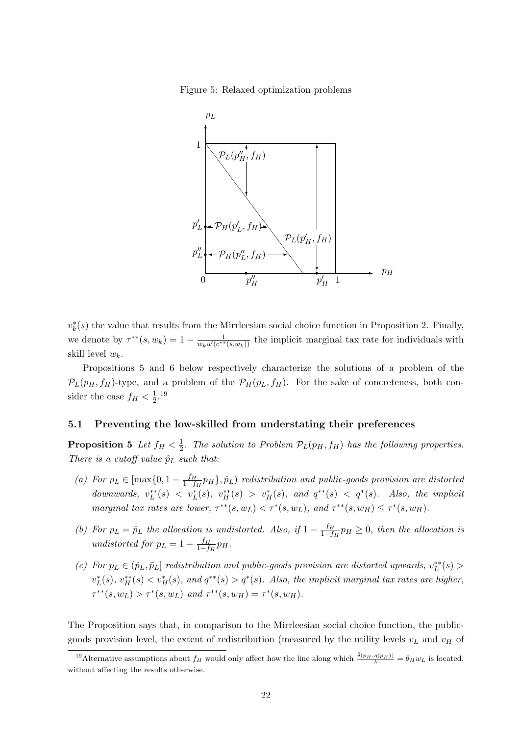Figure 5: Relaxed optimization problems



 $v_k^*(s)$  the value that results from the Mirrleesian social choice function in Proposition 2. Finally, we denote by  $\tau^{**}(s, w_k) = 1 - \frac{1}{w_k u'(c^{**}(s, w_k))}$  the implicit marginal tax rate for individuals with skill level  $w_k$ .

Propositions 5 and 6 below respectively characterize the solutions of a problem of the  $\mathcal{P}_L(p_H, f_H)$ -type, and a problem of the  $\mathcal{P}_H(p_L, f_H)$ . For the sake of concreteness, both consider the case  $f_H < \frac{1}{2}$  $\frac{1}{2}$ . 19

### 5.1 Preventing the low-skilled from understating their preferences

**Proposition 5** Let  $f_H < \frac{1}{2}$  $\frac{1}{2}$ . The solution to Problem  $\mathcal{P}_L(p_H, f_H)$  has the following properties. There is a cutoff value  $\hat{p}_L$  such that:

- (a) For  $p_L \in [\max\{0, 1 \frac{f_H}{1 f}]$  $\frac{JH}{1-f_H} p_H$ }, $\hat{p}_L$ ) redistribution and public-goods provision are distorted downwards,  $v_L^{**}(s) < v_L^{*}(s)$ ,  $v_H^{**}(s) > v_H^{*}(s)$ , and  $q^{**}(s) < q^{*}(s)$ . Also, the implicit marginal tax rates are lower,  $\tau^{**}(s, w_L) < \tau^{*}(s, w_L)$ , and  $\tau^{**}(s, w_H) \leq \tau^{*}(s, w_H)$ .
- (b) For  $p_L = \hat{p}_L$  the allocation is undistorted. Also, if  $1 \frac{f_H}{1 f}$  $\frac{JH}{1-f_H}$  $p_H \geq 0$ , then the allocation is undistorted for  $p_L = 1 - \frac{f_H}{1 - f}$  $\frac{JH}{1-f_H} p_H$ .
- (c) For  $p_L \in (\hat{p}_L, \bar{p}_L]$  redistribution and public-goods provision are distorted upwards,  $v_L^{**}(s)$  $v_L^*(s)$ ,  $v_H^{**}(s) < v_H^*(s)$ , and  $q^{**}(s) > q^{*}(s)$ . Also, the implicit marginal tax rates are higher,  $\tau^{**}(s, w_L) > \tau^*(s, w_L)$  and  $\tau^{**}(s, w_H) = \tau^*(s, w_H)$ .

The Proposition says that, in comparison to the Mirrleesian social choice function, the publicgoods provision level, the extent of redistribution (measured by the utility levels  $v_L$  and  $v_H$  of

<sup>&</sup>lt;sup>19</sup>Alternative assumptions about  $f_H$  would only affect how the line along which  $\frac{\bar{\theta}(p_H, \eta(p_H))}{\lambda} = \theta_H w_L$  is located, without affecting the results otherwise.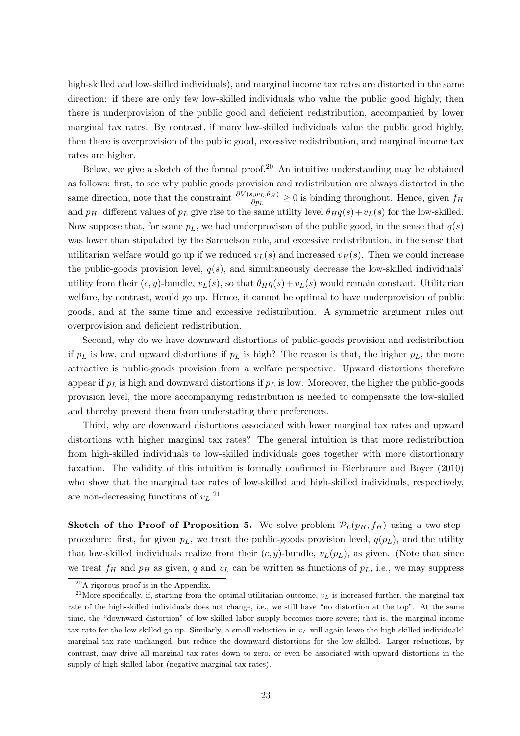high-skilled and low-skilled individuals), and marginal income tax rates are distorted in the same direction: if there are only few low-skilled individuals who value the public good highly, then there is underprovision of the public good and deficient redistribution, accompanied by lower marginal tax rates. By contrast, if many low-skilled individuals value the public good highly, then there is overprovision of the public good, excessive redistribution, and marginal income tax rates are higher.

Below, we give a sketch of the formal proof.<sup>20</sup> An intuitive understanding may be obtained as follows: first, to see why public goods provision and redistribution are always distorted in the same direction, note that the constraint  $\frac{\partial V(s, w_L, \theta_H)}{\partial p_L} \ge 0$  is binding throughout. Hence, given  $f_H$ and  $p_H$ , different values of  $p_L$  give rise to the same utility level  $\theta_H q(s) + v_L(s)$  for the low-skilled. Now suppose that, for some  $p<sub>L</sub>$ , we had underprovison of the public good, in the sense that  $q(s)$ was lower than stipulated by the Samuelson rule, and excessive redistribution, in the sense that utilitarian welfare would go up if we reduced  $v_L(s)$  and increased  $v_H(s)$ . Then we could increase the public-goods provision level,  $q(s)$ , and simultaneously decrease the low-skilled individuals' utility from their  $(c, y)$ -bundle,  $v_L(s)$ , so that  $\theta_H q(s) + v_L(s)$  would remain constant. Utilitarian welfare, by contrast, would go up. Hence, it cannot be optimal to have underprovision of public goods, and at the same time and excessive redistribution. A symmetric argument rules out overprovision and deficient redistribution.

Second, why do we have downward distortions of public-goods provision and redistribution if  $p<sub>L</sub>$  is low, and upward distortions if  $p<sub>L</sub>$  is high? The reason is that, the higher  $p<sub>L</sub>$ , the more attractive is public-goods provision from a welfare perspective. Upward distortions therefore appear if  $p_L$  is high and downward distortions if  $p_L$  is low. Moreover, the higher the public-goods provision level, the more accompanying redistribution is needed to compensate the low-skilled and thereby prevent them from understating their preferences.

Third, why are downward distortions associated with lower marginal tax rates and upward distortions with higher marginal tax rates? The general intuition is that more redistribution from high-skilled individuals to low-skilled individuals goes together with more distortionary taxation. The validity of this intuition is formally confirmed in Bierbrauer and Boyer (2010) who show that the marginal tax rates of low-skilled and high-skilled individuals, respectively, are non-decreasing functions of  $v_L$ .<sup>21</sup>

Sketch of the Proof of Proposition 5. We solve problem  $\mathcal{P}_L(p_H, f_H)$  using a two-stepprocedure: first, for given  $p<sub>L</sub>$ , we treat the public-goods provision level,  $q(p<sub>L</sub>)$ , and the utility that low-skilled individuals realize from their  $(c, y)$ -bundle,  $v_L(p_L)$ , as given. (Note that since we treat  $f_H$  and  $p_H$  as given, q and  $v_L$  can be written as functions of  $p_L$ , i.e., we may suppress

<sup>20</sup>A rigorous proof is in the Appendix.

<sup>&</sup>lt;sup>21</sup>More specifically, if, starting from the optimal utilitarian outcome,  $v<sub>L</sub>$  is increased further, the marginal tax rate of the high-skilled individuals does not change, i.e., we still have "no distortion at the top". At the same time, the "downward distortion" of low-skilled labor supply becomes more severe; that is, the marginal income tax rate for the low-skilled go up. Similarly, a small reduction in  $v<sub>L</sub>$  will again leave the high-skilled individuals' marginal tax rate unchanged, but reduce the downward distortions for the low-skilled. Larger reductions, by contrast, may drive all marginal tax rates down to zero, or even be associated with upward distortions in the supply of high-skilled labor (negative marginal tax rates).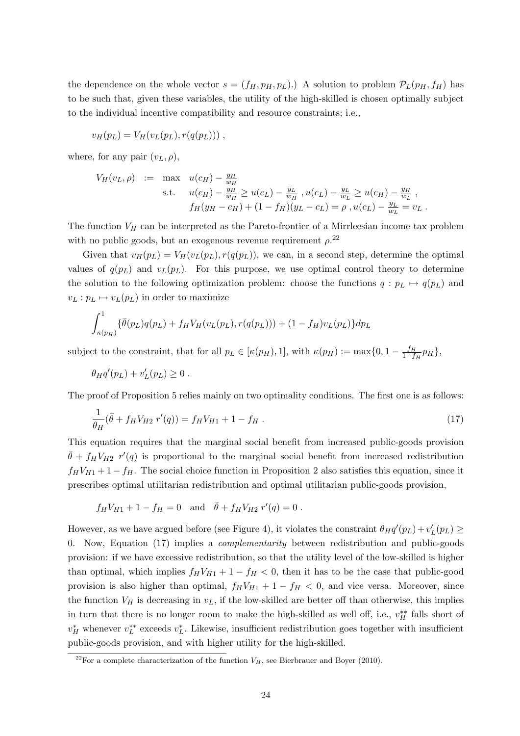the dependence on the whole vector  $s = (f_H, p_H, p_L)$ .) A solution to problem  $\mathcal{P}_L(p_H, f_H)$  has to be such that, given these variables, the utility of the high-skilled is chosen optimally subject to the individual incentive compatibility and resource constraints; i.e.,

$$
v_H(p_L) = V_H(v_L(p_L), r(q(p_L)))
$$

where, for any pair  $(v_L, \rho)$ ,

$$
V_H(v_L, \rho) := \max_{u \in H} u(c_H) - \frac{y_H}{w_H} \n\text{s.t.} \quad u(c_H) - \frac{y_H}{w_H} \ge u(c_L) - \frac{y_L}{w_H}, \quad u(c_L) - \frac{y_L}{w_L} \ge u(c_H) - \frac{y_H}{w_L}, \n f_H(y_H - c_H) + (1 - f_H)(y_L - c_L) = \rho, \quad u(c_L) - \frac{y_L}{w_L} = v_L.
$$

The function  $V_H$  can be interpreted as the Pareto-frontier of a Mirrleesian income tax problem with no public goods, but an exogenous revenue requirement  $\rho^{22}$ 

Given that  $v_H(p_L) = V_H(v_L(p_L), r(q(p_L))$ , we can, in a second step, determine the optimal values of  $q(p_L)$  and  $v_L(p_L)$ . For this purpose, we use optimal control theory to determine the solution to the following optimization problem: choose the functions  $q : p_L \mapsto q(p_L)$  and  $v_L: p_L \mapsto v_L(p_L)$  in order to maximize

$$
\int_{\kappa(p_H)}^1 \{ \bar{\theta}(p_L) q(p_L) + f_H V_H(v_L(p_L), r(q(p_L))) + (1 - f_H) v_L(p_L) \} dp_L
$$

subject to the constraint, that for all  $p_L \in [\kappa(p_H), 1]$ , with  $\kappa(p_H) := \max\{0, 1 - \frac{f_H}{1 - f_H}\}$  $\frac{JH}{1-f_H} p_H$ },

$$
\theta_H q'(p_L) + v'_L(p_L) \geq 0.
$$

The proof of Proposition 5 relies mainly on two optimality conditions. The first one is as follows:

$$
\frac{1}{\theta_H}(\bar{\theta} + f_H V_{H2} r'(q)) = f_H V_{H1} + 1 - f_H.
$$
\n(17)

This equation requires that the marginal social benefit from increased public-goods provision  $\bar{\theta} + f_H V_{H2} r'(q)$  is proportional to the marginal social benefit from increased redistribution  $f_HV_{H1} + 1 - f_H$ . The social choice function in Proposition 2 also satisfies this equation, since it prescribes optimal utilitarian redistribution and optimal utilitarian public-goods provision,

$$
f_H V_{H1} + 1 - f_H = 0
$$
 and  $\bar{\theta} + f_H V_{H2} r'(q) = 0$ .

However, as we have argued before (see Figure 4), it violates the constraint  $\theta_H q'(p_L) + v'_L(p_L) \ge$ 0. Now, Equation (17) implies a complementarity between redistribution and public-goods provision: if we have excessive redistribution, so that the utility level of the low-skilled is higher than optimal, which implies  $f_HV_{H1} + 1 - f_H < 0$ , then it has to be the case that public-good provision is also higher than optimal,  $f_H V_{H1} + 1 - f_H < 0$ , and vice versa. Moreover, since the function  $V_H$  is decreasing in  $v_L$ , if the low-skilled are better off than otherwise, this implies in turn that there is no longer room to make the high-skilled as well off, i.e.,  $v_H^{**}$  falls short of  $v_H^*$  whenever  $v_L^{**}$  exceeds  $v_L^*$ . Likewise, insufficient redistribution goes together with insufficient public-goods provision, and with higher utility for the high-skilled.

<sup>&</sup>lt;sup>22</sup>For a complete characterization of the function  $V_H$ , see Bierbrauer and Boyer (2010).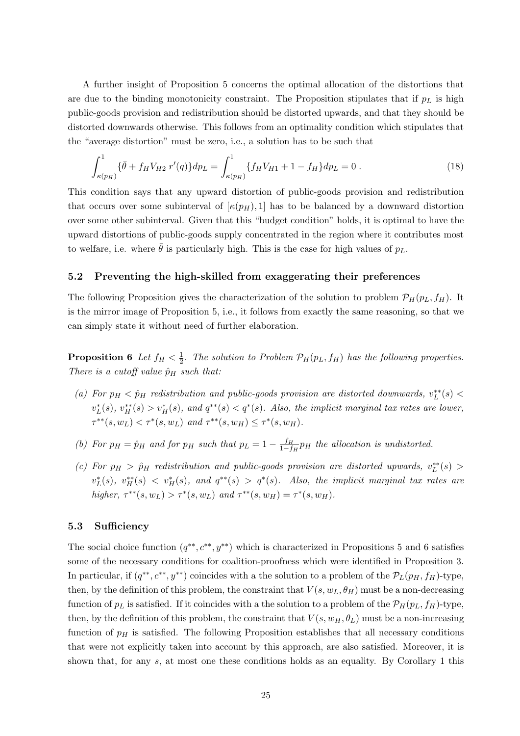A further insight of Proposition 5 concerns the optimal allocation of the distortions that are due to the binding monotonicity constraint. The Proposition stipulates that if  $p<sub>L</sub>$  is high public-goods provision and redistribution should be distorted upwards, and that they should be distorted downwards otherwise. This follows from an optimality condition which stipulates that the "average distortion" must be zero, i.e., a solution has to be such that

$$
\int_{\kappa(p_H)}^1 \{ \bar{\theta} + f_H V_{H2} \ r'(q) \} dp_L = \int_{\kappa(p_H)}^1 \{ f_H V_{H1} + 1 - f_H \} dp_L = 0 \ . \tag{18}
$$

This condition says that any upward distortion of public-goods provision and redistribution that occurs over some subinterval of  $\kappa(p_H)$ , 1 has to be balanced by a downward distortion over some other subinterval. Given that this "budget condition" holds, it is optimal to have the upward distortions of public-goods supply concentrated in the region where it contributes most to welfare, i.e. where  $\bar{\theta}$  is particularly high. This is the case for high values of  $p_L$ .

### 5.2 Preventing the high-skilled from exaggerating their preferences

The following Proposition gives the characterization of the solution to problem  $\mathcal{P}_H(p_L, f_H)$ . It is the mirror image of Proposition 5, i.e., it follows from exactly the same reasoning, so that we can simply state it without need of further elaboration.

**Proposition 6** Let  $f_H < \frac{1}{2}$  $\frac{1}{2}$ . The solution to Problem  $\mathcal{P}_H(p_L, f_H)$  has the following properties. There is a cutoff value  $\hat{p}_H$  such that:

- (a) For  $p_H < \hat{p}_H$  redistribution and public-goods provision are distorted downwards,  $v_L^{**}(s)$  $v_L^*(s)$ ,  $v_H^{**}(s) > v_H^*(s)$ , and  $q^{**}(s) < q^{*}(s)$ . Also, the implicit marginal tax rates are lower,  $\tau^{**}(s, w_L) < \tau^*(s, w_L)$  and  $\tau^{**}(s, w_H) \leq \tau^*(s, w_H)$ .
- (b) For  $p_H = \hat{p}_H$  and for  $p_H$  such that  $p_L = 1 \frac{f_H}{1 f}$  $\frac{JH}{1-f_H}$  p<sub>H</sub> the allocation is undistorted.
- (c) For  $p_H > \hat{p}_H$  redistribution and public-goods provision are distorted upwards,  $v_L^{**}(s)$  $v_L^*(s)$ ,  $v_H^{**}(s) < v_H^*(s)$ , and  $q^{**}(s) > q^{*}(s)$ . Also, the implicit marginal tax rates are higher,  $\tau^{**}(s, w_L) > \tau^{*}(s, w_L)$  and  $\tau^{**}(s, w_H) = \tau^{*}(s, w_H)$ .

## 5.3 Sufficiency

The social choice function  $(q^{**}, c^{**}, y^{**})$  which is characterized in Propositions 5 and 6 satisfies some of the necessary conditions for coalition-proofness which were identified in Proposition 3. In particular, if  $(q^{**}, c^{**}, y^{**})$  coincides with a the solution to a problem of the  $\mathcal{P}_L(p_H, f_H)$ -type, then, by the definition of this problem, the constraint that  $V(s, w_L, \theta_H)$  must be a non-decreasing function of  $p_L$  is satisfied. If it coincides with a the solution to a problem of the  $\mathcal{P}_H(p_L, f_H)$ -type, then, by the definition of this problem, the constraint that  $V(s, w_H, \theta_L)$  must be a non-increasing function of  $p<sub>H</sub>$  is satisfied. The following Proposition establishes that all necessary conditions that were not explicitly taken into account by this approach, are also satisfied. Moreover, it is shown that, for any s, at most one these conditions holds as an equality. By Corollary 1 this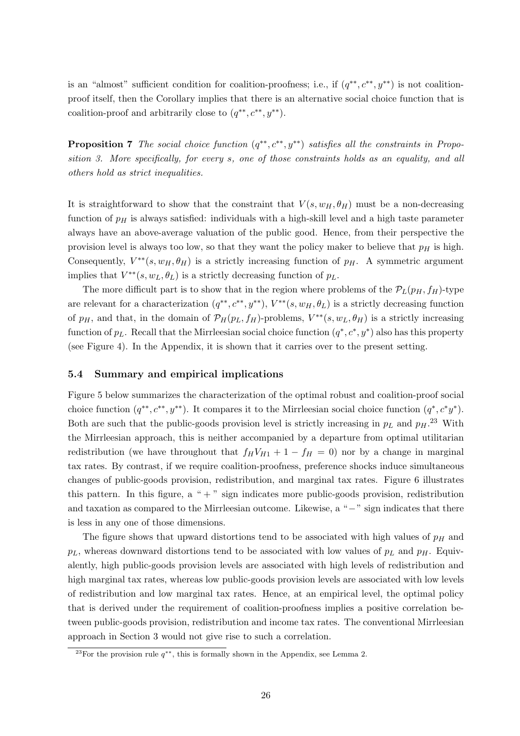is an "almost" sufficient condition for coalition-proofness; i.e., if  $(q^{**}, c^{**}, y^{**})$  is not coalitionproof itself, then the Corollary implies that there is an alternative social choice function that is coalition-proof and arbitrarily close to  $(q^{**}, c^{**}, y^{**})$ .

**Proposition 7** The social choice function  $(q^{**}, c^{**}, y^{**})$  satisfies all the constraints in Proposition 3. More specifically, for every s, one of those constraints holds as an equality, and all others hold as strict inequalities.

It is straightforward to show that the constraint that  $V(s, w_H, \theta_H)$  must be a non-decreasing function of  $p<sub>H</sub>$  is always satisfied: individuals with a high-skill level and a high taste parameter always have an above-average valuation of the public good. Hence, from their perspective the provision level is always too low, so that they want the policy maker to believe that  $p<sub>H</sub>$  is high. Consequently,  $V^{**}(s, w_H, \theta_H)$  is a strictly increasing function of  $p_H$ . A symmetric argument implies that  $V^{**}(s, w_L, \theta_L)$  is a strictly decreasing function of  $p_L$ .

The more difficult part is to show that in the region where problems of the  $P_L(p_H, f_H)$ -type are relevant for a characterization  $(q^{**}, c^{**}, y^{**}), V^{**}(s, w_H, \theta_L)$  is a strictly decreasing function of  $p_H$ , and that, in the domain of  $\mathcal{P}_H(p_L, f_H)$ -problems,  $V^{**}(s, w_L, \theta_H)$  is a strictly increasing function of  $p<sub>L</sub>$ . Recall that the Mirrleesian social choice function  $(q^*, c^*, y^*)$  also has this property (see Figure 4). In the Appendix, it is shown that it carries over to the present setting.

## 5.4 Summary and empirical implications

Figure 5 below summarizes the characterization of the optimal robust and coalition-proof social choice function  $(q^*, c^{**}, y^{**})$ . It compares it to the Mirrleesian social choice function  $(q^*, c^*y^*)$ . Both are such that the public-goods provision level is strictly increasing in  $p<sub>L</sub>$  and  $p<sub>H</sub>$ .<sup>23</sup> With the Mirrleesian approach, this is neither accompanied by a departure from optimal utilitarian redistribution (we have throughout that  $f_HV_{H1} + 1 - f_H = 0$ ) nor by a change in marginal tax rates. By contrast, if we require coalition-proofness, preference shocks induce simultaneous changes of public-goods provision, redistribution, and marginal tax rates. Figure 6 illustrates this pattern. In this figure, a " $+$ " sign indicates more public-goods provision, redistribution and taxation as compared to the Mirrleesian outcome. Likewise, a "−" sign indicates that there is less in any one of those dimensions.

The figure shows that upward distortions tend to be associated with high values of  $p<sub>H</sub>$  and  $p<sub>L</sub>$ , whereas downward distortions tend to be associated with low values of  $p<sub>L</sub>$  and  $p<sub>H</sub>$ . Equivalently, high public-goods provision levels are associated with high levels of redistribution and high marginal tax rates, whereas low public-goods provision levels are associated with low levels of redistribution and low marginal tax rates. Hence, at an empirical level, the optimal policy that is derived under the requirement of coalition-proofness implies a positive correlation between public-goods provision, redistribution and income tax rates. The conventional Mirrleesian approach in Section 3 would not give rise to such a correlation.

<sup>&</sup>lt;sup>23</sup>For the provision rule  $q^{**}$ , this is formally shown in the Appendix, see Lemma 2.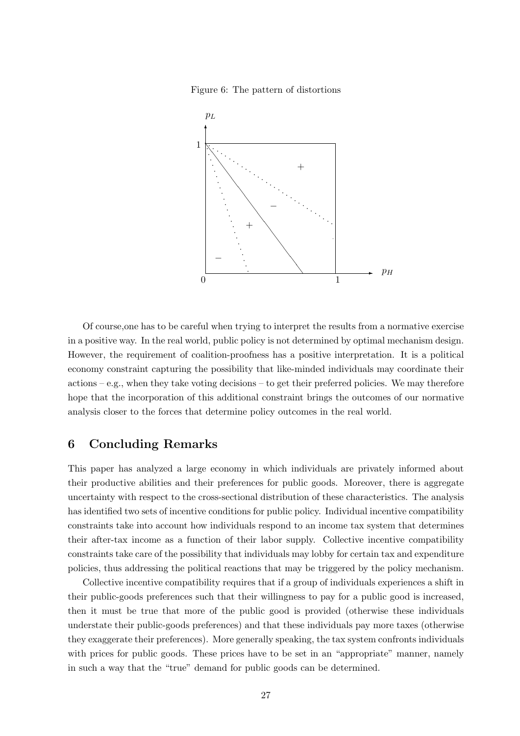Figure 6: The pattern of distortions



Of course,one has to be careful when trying to interpret the results from a normative exercise in a positive way. In the real world, public policy is not determined by optimal mechanism design. However, the requirement of coalition-proofness has a positive interpretation. It is a political economy constraint capturing the possibility that like-minded individuals may coordinate their actions  $-e.g.,$  when they take voting decisions  $-e$  to get their preferred policies. We may therefore hope that the incorporation of this additional constraint brings the outcomes of our normative analysis closer to the forces that determine policy outcomes in the real world.

# 6 Concluding Remarks

This paper has analyzed a large economy in which individuals are privately informed about their productive abilities and their preferences for public goods. Moreover, there is aggregate uncertainty with respect to the cross-sectional distribution of these characteristics. The analysis has identified two sets of incentive conditions for public policy. Individual incentive compatibility constraints take into account how individuals respond to an income tax system that determines their after-tax income as a function of their labor supply. Collective incentive compatibility constraints take care of the possibility that individuals may lobby for certain tax and expenditure policies, thus addressing the political reactions that may be triggered by the policy mechanism.

Collective incentive compatibility requires that if a group of individuals experiences a shift in their public-goods preferences such that their willingness to pay for a public good is increased, then it must be true that more of the public good is provided (otherwise these individuals understate their public-goods preferences) and that these individuals pay more taxes (otherwise they exaggerate their preferences). More generally speaking, the tax system confronts individuals with prices for public goods. These prices have to be set in an "appropriate" manner, namely in such a way that the "true" demand for public goods can be determined.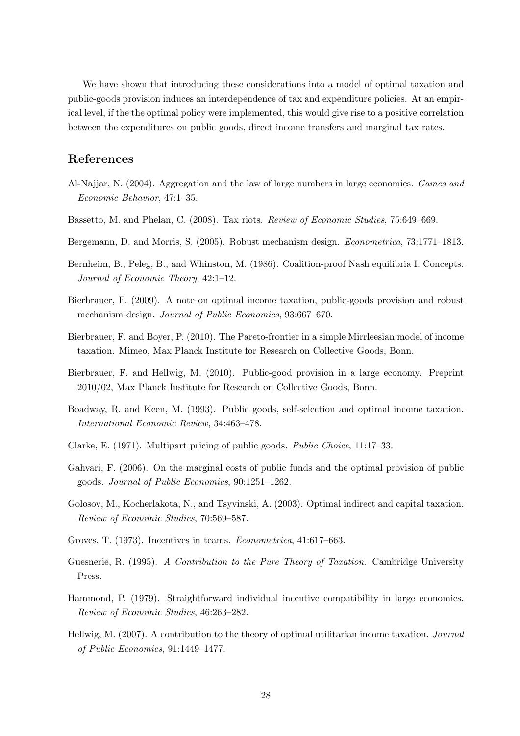We have shown that introducing these considerations into a model of optimal taxation and public-goods provision induces an interdependence of tax and expenditure policies. At an empirical level, if the the optimal policy were implemented, this would give rise to a positive correlation between the expenditures on public goods, direct income transfers and marginal tax rates.

# References

- Al-Najjar, N. (2004). Aggregation and the law of large numbers in large economies. Games and Economic Behavior, 47:1–35.
- Bassetto, M. and Phelan, C. (2008). Tax riots. Review of Economic Studies, 75:649–669.
- Bergemann, D. and Morris, S. (2005). Robust mechanism design. Econometrica, 73:1771–1813.
- Bernheim, B., Peleg, B., and Whinston, M. (1986). Coalition-proof Nash equilibria I. Concepts. Journal of Economic Theory, 42:1–12.
- Bierbrauer, F. (2009). A note on optimal income taxation, public-goods provision and robust mechanism design. Journal of Public Economics, 93:667–670.
- Bierbrauer, F. and Boyer, P. (2010). The Pareto-frontier in a simple Mirrleesian model of income taxation. Mimeo, Max Planck Institute for Research on Collective Goods, Bonn.
- Bierbrauer, F. and Hellwig, M. (2010). Public-good provision in a large economy. Preprint 2010/02, Max Planck Institute for Research on Collective Goods, Bonn.
- Boadway, R. and Keen, M. (1993). Public goods, self-selection and optimal income taxation. International Economic Review, 34:463–478.
- Clarke, E. (1971). Multipart pricing of public goods. Public Choice, 11:17–33.
- Gahvari, F. (2006). On the marginal costs of public funds and the optimal provision of public goods. Journal of Public Economics, 90:1251–1262.
- Golosov, M., Kocherlakota, N., and Tsyvinski, A. (2003). Optimal indirect and capital taxation. Review of Economic Studies, 70:569–587.
- Groves, T. (1973). Incentives in teams. Econometrica, 41:617–663.
- Guesnerie, R. (1995). A Contribution to the Pure Theory of Taxation. Cambridge University Press.
- Hammond, P. (1979). Straightforward individual incentive compatibility in large economies. Review of Economic Studies, 46:263–282.
- Hellwig, M. (2007). A contribution to the theory of optimal utilitarian income taxation. Journal of Public Economics, 91:1449–1477.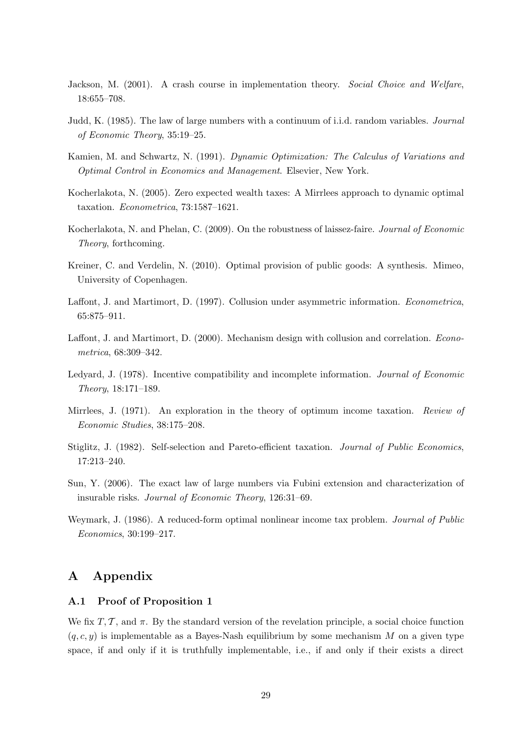- Jackson, M. (2001). A crash course in implementation theory. Social Choice and Welfare, 18:655–708.
- Judd, K. (1985). The law of large numbers with a continuum of i.i.d. random variables. Journal of Economic Theory, 35:19–25.
- Kamien, M. and Schwartz, N. (1991). Dynamic Optimization: The Calculus of Variations and Optimal Control in Economics and Management. Elsevier, New York.
- Kocherlakota, N. (2005). Zero expected wealth taxes: A Mirrlees approach to dynamic optimal taxation. Econometrica, 73:1587–1621.
- Kocherlakota, N. and Phelan, C. (2009). On the robustness of laissez-faire. Journal of Economic Theory, forthcoming.
- Kreiner, C. and Verdelin, N. (2010). Optimal provision of public goods: A synthesis. Mimeo, University of Copenhagen.
- Laffont, J. and Martimort, D. (1997). Collusion under asymmetric information. Econometrica, 65:875–911.
- Laffont, J. and Martimort, D. (2000). Mechanism design with collusion and correlation. *Econo*metrica, 68:309–342.
- Ledyard, J. (1978). Incentive compatibility and incomplete information. Journal of Economic Theory, 18:171–189.
- Mirrlees, J. (1971). An exploration in the theory of optimum income taxation. Review of Economic Studies, 38:175–208.
- Stiglitz, J. (1982). Self-selection and Pareto-efficient taxation. Journal of Public Economics, 17:213–240.
- Sun, Y. (2006). The exact law of large numbers via Fubini extension and characterization of insurable risks. Journal of Economic Theory, 126:31–69.
- Weymark, J. (1986). A reduced-form optimal nonlinear income tax problem. *Journal of Public* Economics, 30:199–217.

# A Appendix

# A.1 Proof of Proposition 1

We fix  $T, \mathcal{T}$ , and  $\pi$ . By the standard version of the revelation principle, a social choice function  $(q, c, y)$  is implementable as a Bayes-Nash equilibrium by some mechanism M on a given type space, if and only if it is truthfully implementable, i.e., if and only if their exists a direct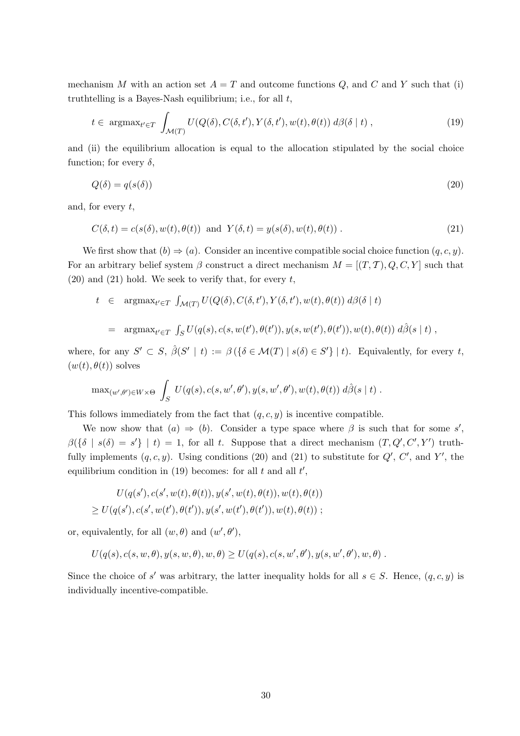mechanism M with an action set  $A = T$  and outcome functions Q, and C and Y such that (i) truthtelling is a Bayes-Nash equilibrium; i.e., for all  $t$ ,

$$
t \in \operatorname{argmax}_{t' \in T} \int_{\mathcal{M}(T)} U(Q(\delta), C(\delta, t'), Y(\delta, t'), w(t), \theta(t)) \, d\beta(\delta \mid t) , \qquad (19)
$$

and (ii) the equilibrium allocation is equal to the allocation stipulated by the social choice function; for every  $\delta$ ,

$$
Q(\delta) = q(s(\delta))
$$
\n<sup>(20)</sup>

and, for every  $t$ ,

$$
C(\delta, t) = c(s(\delta), w(t), \theta(t)) \text{ and } Y(\delta, t) = y(s(\delta), w(t), \theta(t)) .
$$
\n(21)

We first show that  $(b) \Rightarrow (a)$ . Consider an incentive compatible social choice function  $(q, c, y)$ . For an arbitrary belief system  $\beta$  construct a direct mechanism  $M = [(T, \mathcal{T}), Q, C, Y]$  such that  $(20)$  and  $(21)$  hold. We seek to verify that, for every t,

$$
t \in \operatorname{argmax}_{t' \in T} \int_{\mathcal{M}(T)} U(Q(\delta), C(\delta, t'), Y(\delta, t'), w(t), \theta(t)) \, d\beta(\delta \mid t)
$$
  
= 
$$
\operatorname{argmax}_{t' \in T} \int_{S} U(q(s), c(s, w(t'), \theta(t')), y(s, w(t'), \theta(t')), w(t), \theta(t)) \, d\hat{\beta}(s \mid t) ,
$$

where, for any  $S' \subset S$ ,  $\hat{\beta}(S' | t) := \beta(\{\delta \in \mathcal{M}(T) | s(\delta) \in S'\} | t)$ . Equivalently, for every t,  $(w(t), \theta(t))$  solves

$$
\max_{(w',\theta')\in W\times\Theta} \int_S U(q(s),c(s,w',\theta'),y(s,w',\theta'),w(t),\theta(t)) \ d\hat{\beta}(s\mid t) .
$$

This follows immediately from the fact that  $(q, c, y)$  is incentive compatible.

We now show that  $(a) \Rightarrow (b)$ . Consider a type space where  $\beta$  is such that for some s',  $\beta({\delta} | s({\delta}) = s' \nvert t) = 1$ , for all t. Suppose that a direct mechanism  $(T, Q', C', Y')$  truthfully implements  $(q, c, y)$ . Using conditions (20) and (21) to substitute for  $Q'$ ,  $C'$ , and  $Y'$ , the equilibrium condition in (19) becomes: for all  $t$  and all  $t'$ ,

$$
U(q(s'), c(s', w(t), \theta(t)), y(s', w(t), \theta(t)), w(t), \theta(t))
$$
  
\n
$$
\geq U(q(s'), c(s', w(t'), \theta(t')), y(s', w(t'), \theta(t')), w(t), \theta(t)) ;
$$

or, equivalently, for all  $(w, \theta)$  and  $(w', \theta')$ ,

$$
U(q(s), c(s, w, \theta), y(s, w, \theta), w, \theta) \ge U(q(s), c(s, w', \theta'), y(s, w', \theta'), w, \theta).
$$

Since the choice of s' was arbitrary, the latter inequality holds for all  $s \in S$ . Hence,  $(q, c, y)$  is individually incentive-compatible.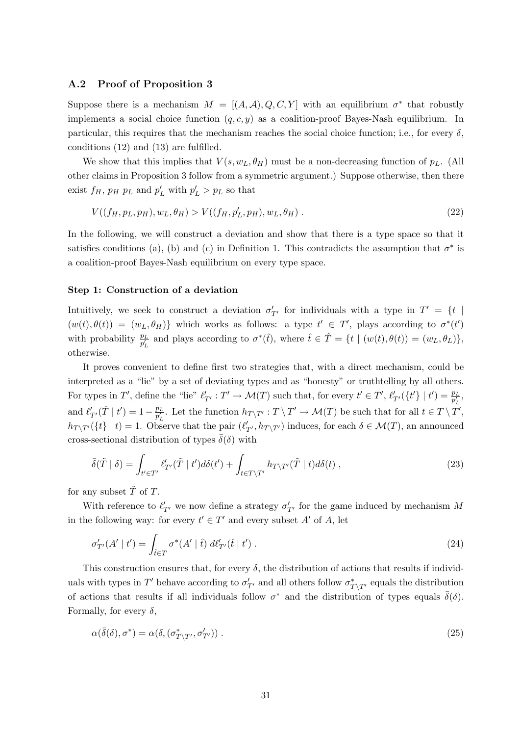## A.2 Proof of Proposition 3

Suppose there is a mechanism  $M = [(A, \mathcal{A}), Q, C, Y]$  with an equilibrium  $\sigma^*$  that robustly implements a social choice function  $(q, c, y)$  as a coalition-proof Bayes-Nash equilibrium. In particular, this requires that the mechanism reaches the social choice function; i.e., for every  $\delta$ , conditions (12) and (13) are fulfilled.

We show that this implies that  $V(s, w_L, \theta_H)$  must be a non-decreasing function of  $p_L$ . (All other claims in Proposition 3 follow from a symmetric argument.) Suppose otherwise, then there exist  $f_H$ ,  $p_H$   $p_L$  and  $p'_L$  with  $p'_L > p_L$  so that

$$
V((f_H, p_L, p_H), w_L, \theta_H) > V((f_H, p'_L, p_H), w_L, \theta_H).
$$
\n(22)

In the following, we will construct a deviation and show that there is a type space so that it satisfies conditions (a), (b) and (c) in Definition 1. This contradicts the assumption that  $\sigma^*$  is a coalition-proof Bayes-Nash equilibrium on every type space.

### Step 1: Construction of a deviation

Intuitively, we seek to construct a deviation  $\sigma'_{T'}$  for individuals with a type in  $T' = \{t \mid$  $(w(t), \theta(t)) = (w_L, \theta_H)$  which works as follows: a type  $t' \in T'$ , plays according to  $\sigma^*(t')$ with probability  $\frac{p_L}{p'_L}$  and plays according to  $\sigma^*(\hat{t})$ , where  $\hat{t} \in \hat{T} = \{t \mid (w(t), \theta(t)) = (w_L, \theta_L)\},\$ otherwise.

It proves convenient to define first two strategies that, with a direct mechanism, could be interpreted as a "lie" by a set of deviating types and as "honesty" or truthtelling by all others. For types in T', define the "lie"  $\ell'_{T'} : T' \to \mathcal{M}(T)$  such that, for every  $t' \in T'$ ,  $\ell'_{T'}(\lbrace t' \rbrace | t') = \frac{p_L}{p'_L}$ and  $\ell'_{T'}(\hat{T} | t') = 1 - \frac{p_L}{p'_L}$  $\frac{p_L}{p'_L}$ . Let the function  $h_{T\setminus T'} : T\setminus T' \to \mathcal{M}(T)$  be such that for all  $t \in T\setminus T'$ ,  $h_{T\setminus T'}(\{t\} | t) = 1$ . Observe that the pair  $(\ell'_{T'}, h_{T\setminus T'})$  induces, for each  $\delta \in \mathcal{M}(T)$ , an announced cross-sectional distribution of types  $\overline{\delta}(\delta)$  with

$$
\bar{\delta}(\tilde{T} \mid \delta) = \int_{t' \in T'} \ell'_{T'}(\tilde{T} \mid t') d\delta(t') + \int_{t \in T \backslash T'} h_{T \backslash T'}(\tilde{T} \mid t) d\delta(t) , \qquad (23)
$$

for any subset  $\tilde{T}$  of T.

With reference to  $\ell'_{T'}$  we now define a strategy  $\sigma'_{T'}$  for the game induced by mechanism M in the following way: for every  $t' \in T'$  and every subset A' of A, let

$$
\sigma'_{T'}(A' \mid t') = \int_{\hat{t} \in T} \sigma^*(A' \mid \hat{t}) \, d\ell'_{T'}(\hat{t} \mid t') \,.
$$
\n(24)

This construction ensures that, for every  $\delta$ , the distribution of actions that results if individuals with types in T' behave according to  $\sigma'_{T'}$  and all others follow  $\sigma^*_{T\setminus T'}$  equals the distribution of actions that results if all individuals follow  $\sigma^*$  and the distribution of types equals  $\bar{\delta}(\delta)$ . Formally, for every  $\delta$ ,

$$
\alpha(\bar{\delta}(\delta), \sigma^*) = \alpha(\delta, (\sigma^*_{T \setminus T'}, \sigma'_{T'})) \tag{25}
$$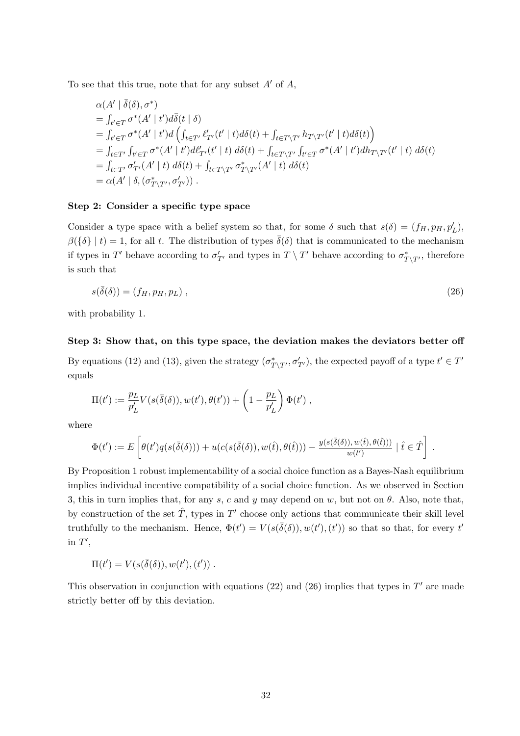To see that this true, note that for any subset  $A'$  of  $A$ ,

$$
\alpha(A' | \bar{\delta}(\delta), \sigma^*)
$$
\n
$$
= \int_{t' \in T} \sigma^*(A' | t') d\bar{\delta}(t | \delta)
$$
\n
$$
= \int_{t' \in T} \sigma^*(A' | t') d\left( \int_{t \in T'} \ell'_{T'}(t' | t) d\delta(t) + \int_{t \in T \setminus T'} h_{T \setminus T'}(t' | t) d\delta(t) \right)
$$
\n
$$
= \int_{t \in T'} \int_{t' \in T} \sigma^*(A' | t') d\ell'_{T'}(t' | t) d\delta(t) + \int_{t \in T \setminus T'} \int_{t' \in T} \sigma^*(A' | t') d\hbar_{T \setminus T'}(t' | t) d\delta(t)
$$
\n
$$
= \int_{t \in T'} \sigma'_{T'}(A' | t) d\delta(t) + \int_{t \in T \setminus T'} \sigma^*_{T \setminus T'}(A' | t) d\delta(t)
$$
\n
$$
= \alpha(A' | \delta, (\sigma^*_{T \setminus T'}, \sigma'_{T'})) .
$$

### Step 2: Consider a specific type space

Consider a type space with a belief system so that, for some  $\delta$  such that  $s(\delta) = (f_H, p_H, p'_L)$ ,  $\beta({\{\delta\}} \mid t) = 1$ , for all t. The distribution of types  $\overline{\delta}(\delta)$  that is communicated to the mechanism if types in T' behave according to  $\sigma'_{T'}$  and types in  $T \setminus T'$  behave according to  $\sigma^*_{T \setminus T'}$ , therefore is such that

$$
s(\bar{\delta}(\delta)) = (f_H, p_H, p_L) \tag{26}
$$

with probability 1.

### Step 3: Show that, on this type space, the deviation makes the deviators better off

By equations (12) and (13), given the strategy  $(\sigma_{T\setminus T'}^*, \sigma_{T'}'),$  the expected payoff of a type  $t' \in T'$ equals

$$
\Pi(t') := \frac{p_L}{p'_L} V(s(\overline{\delta}(\delta)), w(t'), \theta(t')) + \left(1 - \frac{p_L}{p'_L}\right) \Phi(t'),
$$

where

$$
\Phi(t') := E\left[\theta(t')q(s(\bar{\delta}(\delta))) + u(c(s(\bar{\delta}(\delta)), w(\hat{t}), \theta(\hat{t}))) - \frac{y(s(\bar{\delta}(\delta)), w(\hat{t}), \theta(\hat{t})))}{w(t')} \mid \hat{t} \in \hat{T}\right].
$$

By Proposition 1 robust implementability of a social choice function as a Bayes-Nash equilibrium implies individual incentive compatibility of a social choice function. As we observed in Section 3, this in turn implies that, for any s, c and y may depend on w, but not on  $\theta$ . Also, note that, by construction of the set  $\hat{T}$ , types in  $T'$  choose only actions that communicate their skill level truthfully to the mechanism. Hence,  $\Phi(t') = V(s(\bar{\delta}(\delta)), w(t'), (t'))$  so that so that, for every t' in  $T'$ ,

$$
\Pi(t') = V(s(\overline{\delta}(\delta)), w(t'), (t')) .
$$

This observation in conjunction with equations  $(22)$  and  $(26)$  implies that types in  $T'$  are made strictly better off by this deviation.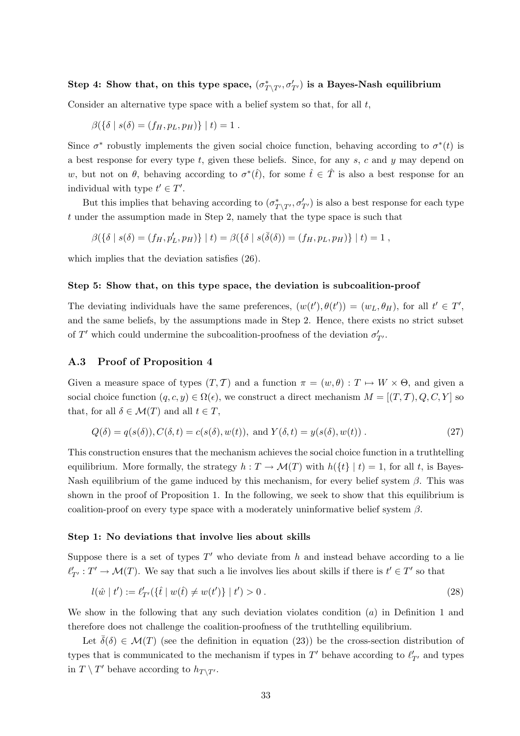# Step 4: Show that, on this type space,  $(\sigma_{T\setminus T'}^*,\sigma_{T'}')$  is a Bayes-Nash equilibrium

Consider an alternative type space with a belief system so that, for all  $t$ ,

$$
\beta({\delta | s(\delta) = (f_H, p_L, p_H)} | t) = 1.
$$

Since  $\sigma^*$  robustly implements the given social choice function, behaving according to  $\sigma^*(t)$  is a best response for every type t, given these beliefs. Since, for any s, c and  $y$  may depend on w, but not on  $\theta$ , behaving according to  $\sigma^*(\hat{t})$ , for some  $\hat{t} \in \hat{T}$  is also a best response for an individual with type  $t' \in T'$ .

But this implies that behaving according to  $(\sigma^*_{T\setminus T'}, \sigma'_{T'})$  is also a best response for each type t under the assumption made in Step 2, namely that the type space is such that

$$
\beta(\{\delta \mid s(\delta) = (f_H, p'_L, p_H)\} \mid t) = \beta(\{\delta \mid s(\bar{\delta}(\delta)) = (f_H, p_L, p_H)\} \mid t) = 1,
$$

which implies that the deviation satisfies (26).

#### Step 5: Show that, on this type space, the deviation is subcoalition-proof

The deviating individuals have the same preferences,  $(w(t'), \theta(t')) = (w_L, \theta_H)$ , for all  $t' \in T'$ , and the same beliefs, by the assumptions made in Step 2. Hence, there exists no strict subset of  $T'$  which could undermine the subcoalition-proofness of the deviation  $\sigma'_{T'}$ .

## A.3 Proof of Proposition 4

Given a measure space of types  $(T, \mathcal{T})$  and a function  $\pi = (w, \theta) : T \mapsto W \times \Theta$ , and given a social choice function  $(q, c, y) \in \Omega(\epsilon)$ , we construct a direct mechanism  $M = [(T, T), Q, C, Y]$  so that, for all  $\delta \in \mathcal{M}(T)$  and all  $t \in T$ ,

$$
Q(\delta) = q(s(\delta)), C(\delta, t) = c(s(\delta), w(t)), \text{ and } Y(\delta, t) = y(s(\delta), w(t)).
$$
\n(27)

This construction ensures that the mechanism achieves the social choice function in a truthtelling equilibrium. More formally, the strategy  $h: T \to \mathcal{M}(T)$  with  $h({t\atop t}) | t) = 1$ , for all t, is Bayes-Nash equilibrium of the game induced by this mechanism, for every belief system  $\beta$ . This was shown in the proof of Proposition 1. In the following, we seek to show that this equilibrium is coalition-proof on every type space with a moderately uninformative belief system  $\beta$ .

### Step 1: No deviations that involve lies about skills

Suppose there is a set of types  $T'$  who deviate from h and instead behave according to a lie  $\ell'_{T'} : T' \to \mathcal{M}(T)$ . We say that such a lie involves lies about skills if there is  $t' \in T'$  so that

$$
l(\hat{w} \mid t') := \ell'_{T'}(\{\hat{t} \mid w(\hat{t}) \neq w(t')\} \mid t') > 0.
$$
\n(28)

We show in the following that any such deviation violates condition  $(a)$  in Definition 1 and therefore does not challenge the coalition-proofness of the truthtelling equilibrium.

Let  $\bar{\delta}(\delta) \in \mathcal{M}(T)$  (see the definition in equation (23)) be the cross-section distribution of types that is communicated to the mechanism if types in  $T'$  behave according to  $\ell'_{T'}$  and types in  $T \setminus T'$  behave according to  $h_{T \setminus T'}$ .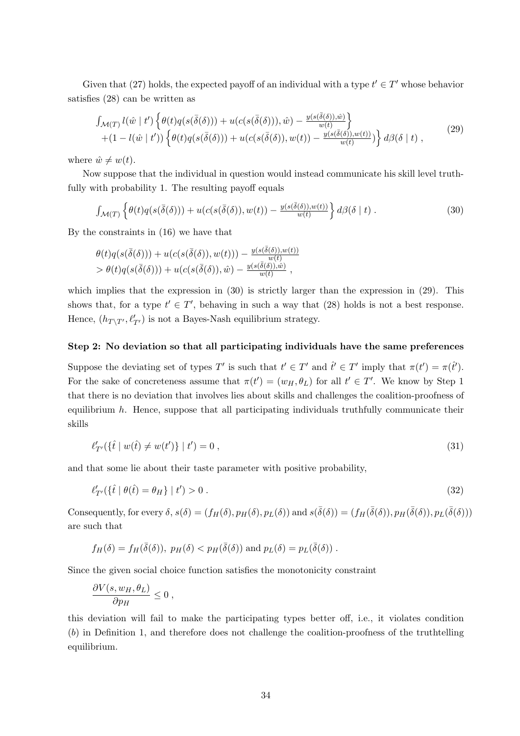Given that (27) holds, the expected payoff of an individual with a type  $t' \in T'$  whose behavior satisfies (28) can be written as

$$
\int_{\mathcal{M}(T)} l(\hat{w} | t') \left\{ \theta(t) q(s(\bar{\delta}(\delta))) + u(c(s(\bar{\delta}(\delta))), \hat{w}) - \frac{y(s(\bar{\delta}(\delta)), \hat{w})}{w(t)} \right\} + (1 - l(\hat{w} | t')) \left\{ \theta(t) q(s(\bar{\delta}(\delta))) + u(c(s(\bar{\delta}(\delta)), w(t)) - \frac{y(s(\bar{\delta}(\delta)), w(t))}{w(t)}) \right\} d\beta(\delta | t),
$$
(29)

where  $\hat{w} \neq w(t)$ .

Now suppose that the individual in question would instead communicate his skill level truthfully with probability 1. The resulting payoff equals

$$
\int_{\mathcal{M}(T)} \left\{ \theta(t) q(s(\bar{\delta}(\delta))) + u(c(s(\bar{\delta}(\delta)), w(t)) - \frac{y(s(\bar{\delta}(\delta)), w(t))}{w(t)} \right\} d\beta(\delta \mid t) . \tag{30}
$$

By the constraints in (16) we have that

$$
\theta(t)q(s(\bar{\delta}(\delta))) + u(c(s(\bar{\delta}(\delta)), w(t))) - \frac{y(s(\bar{\delta}(\delta)), w(t))}{w(t)}
$$
  
> 
$$
\theta(t)q(s(\bar{\delta}(\delta))) + u(c(s(\bar{\delta}(\delta)), \hat{w}) - \frac{y(s(\bar{\delta}(\delta)), \hat{w})}{w(t)},
$$

which implies that the expression in  $(30)$  is strictly larger than the expression in  $(29)$ . This shows that, for a type  $t' \in T'$ , behaving in such a way that (28) holds is not a best response. Hence,  $(h_{T\setminus T'}, \ell'_{T'})$  is not a Bayes-Nash equilibrium strategy.

### Step 2: No deviation so that all participating individuals have the same preferences

Suppose the deviating set of types T' is such that  $t' \in T'$  and  $\hat{t}' \in T'$  imply that  $\pi(t') = \pi(\hat{t}')$ . For the sake of concreteness assume that  $\pi(t') = (w_H, \theta_L)$  for all  $t' \in T'$ . We know by Step 1 that there is no deviation that involves lies about skills and challenges the coalition-proofness of equilibrium  $h$ . Hence, suppose that all participating individuals truthfully communicate their skills

$$
\ell'_{T'}(\{\hat{t} \mid w(\hat{t}) \neq w(t')\} \mid t') = 0 , \qquad (31)
$$

and that some lie about their taste parameter with positive probability,

$$
\ell'_{T'}(\{\hat{t} \mid \theta(\hat{t}) = \theta_H\} \mid t') > 0.
$$
\n(32)

Consequently, for every  $\delta$ ,  $s(\delta) = (f_H(\delta), p_H(\delta), p_L(\delta))$  and  $s(\bar{\delta}(\delta)) = (f_H(\bar{\delta}(\delta)), p_H(\bar{\delta}(\delta)), p_L(\bar{\delta}(\delta)))$ are such that

$$
f_H(\delta) = f_H(\bar{\delta}(\delta)), \ p_H(\delta) < p_H(\bar{\delta}(\delta)) \text{ and } p_L(\delta) = p_L(\bar{\delta}(\delta)).
$$

Since the given social choice function satisfies the monotonicity constraint

$$
\frac{\partial V(s, w_H, \theta_L)}{\partial p_H} \le 0 ,
$$

this deviation will fail to make the participating types better off, i.e., it violates condition (b) in Definition 1, and therefore does not challenge the coalition-proofness of the truthtelling equilibrium.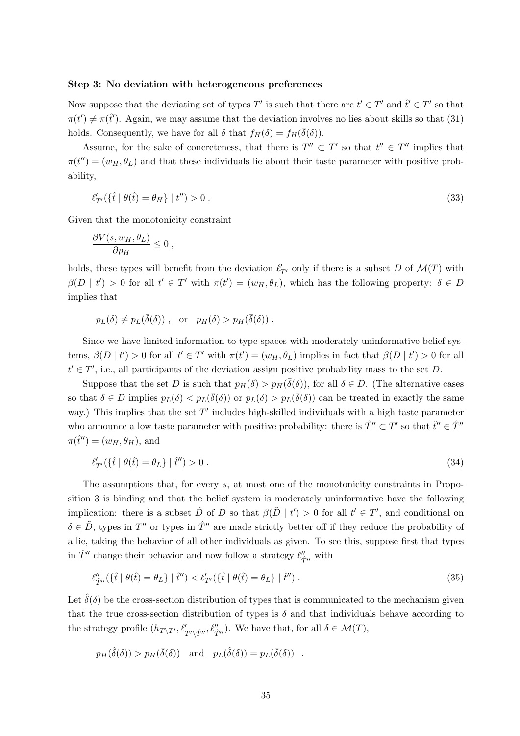### Step 3: No deviation with heterogeneous preferences

Now suppose that the deviating set of types T' is such that there are  $t' \in T'$  and  $\hat{t}' \in T'$  so that  $\pi(t') \neq \pi(\hat{t}')$ . Again, we may assume that the deviation involves no lies about skills so that (31) holds. Consequently, we have for all  $\delta$  that  $f_H(\delta) = f_H(\bar{\delta}(\delta)).$ 

Assume, for the sake of concreteness, that there is  $T'' \subset T'$  so that  $t'' \in T''$  implies that  $\pi(t'') = (w_H, \theta_L)$  and that these individuals lie about their taste parameter with positive probability,

$$
\ell'_{T'}(\{\hat{t} \mid \theta(\hat{t}) = \theta_H\} \mid t'') > 0.
$$
\n(33)

Given that the monotonicity constraint

$$
\frac{\partial V(s, w_H, \theta_L)}{\partial p_H} \le 0 ,
$$

holds, these types will benefit from the deviation  $\ell'_{T'}$  only if there is a subset D of  $\mathcal{M}(T)$  with  $\beta(D \mid t') > 0$  for all  $t' \in T'$  with  $\pi(t') = (w_H, \theta_L)$ , which has the following property:  $\delta \in D$ implies that

$$
p_L(\delta) \neq p_L(\bar{\delta}(\delta)), \text{ or } p_H(\delta) > p_H(\bar{\delta}(\delta)).
$$

Since we have limited information to type spaces with moderately uninformative belief systems,  $\beta(D \mid t') > 0$  for all  $t' \in T'$  with  $\pi(t') = (w_H, \theta_L)$  implies in fact that  $\beta(D \mid t') > 0$  for all  $t' \in T'$ , i.e., all participants of the deviation assign positive probability mass to the set D.

Suppose that the set D is such that  $p_H(\delta) > p_H(\bar{\delta}(\delta))$ , for all  $\delta \in D$ . (The alternative cases so that  $\delta \in D$  implies  $p_L(\delta) < p_L(\bar{\delta}(\delta))$  or  $p_L(\delta) > p_L(\bar{\delta}(\delta))$  can be treated in exactly the same way.) This implies that the set  $T'$  includes high-skilled individuals with a high taste parameter who announce a low taste parameter with positive probability: there is  $\hat{T}'' \subset T'$  so that  $\hat{t}'' \in \hat{T}''$  $\pi(\hat{t}^{\prime\prime}) = (w_H, \theta_H)$ , and

$$
\ell'_{T'}(\{\hat{t} \mid \theta(\hat{t}) = \theta_L\} \mid \hat{t}'') > 0.
$$
\n(34)

The assumptions that, for every s, at most one of the monotonicity constraints in Proposition 3 is binding and that the belief system is moderately uninformative have the following implication: there is a subset  $\tilde{D}$  of D so that  $\beta(\tilde{D} | t') > 0$  for all  $t' \in T'$ , and conditional on  $\delta \in \tilde{D}$ , types in T<sup>''</sup> or types in  $\hat{T}''$  are made strictly better off if they reduce the probability of a lie, taking the behavior of all other individuals as given. To see this, suppose first that types in  $\hat{T}''$  change their behavior and now follow a strategy  $\ell''_{\hat{T}''}$  with

$$
\ell_{\hat{T}''}''(\{\hat{t} \mid \theta(\hat{t}) = \theta_L\} \mid \hat{t}'') < \ell_{T'}'(\{\hat{t} \mid \theta(\hat{t}) = \theta_L\} \mid \hat{t}''). \tag{35}
$$

Let  $\hat{\delta}(\delta)$  be the cross-section distribution of types that is communicated to the mechanism given that the true cross-section distribution of types is  $\delta$  and that individuals behave according to the strategy profile  $(h_{T\setminus T'}, \ell'_{T'\setminus \hat{T}''}, \ell''_{\hat{T}''})$ . We have that, for all  $\delta \in \mathcal{M}(T)$ ,

$$
p_H(\hat{\delta}(\delta)) > p_H(\bar{\delta}(\delta))
$$
 and  $p_L(\hat{\delta}(\delta)) = p_L(\bar{\delta}(\delta))$ .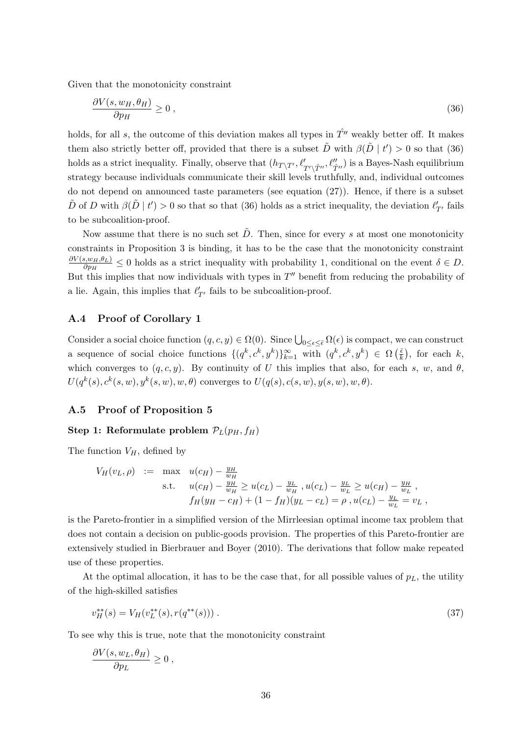Given that the monotonicity constraint

$$
\frac{\partial V(s, w_H, \theta_H)}{\partial p_H} \ge 0 \tag{36}
$$

holds, for all s, the outcome of this deviation makes all types in  $\hat{T}^{\prime\prime}$  weakly better off. It makes them also strictly better off, provided that there is a subset  $\tilde{D}$  with  $\beta(\tilde{D} | t') > 0$  so that (36) holds as a strict inequality. Finally, observe that  $(h_{T\setminus T'}, \ell'_{T'\setminus \hat{T''}}, \ell''_{\hat{T''}})$  is a Bayes-Nash equilibrium strategy because individuals communicate their skill levels truthfully, and, individual outcomes do not depend on announced taste parameters (see equation (27)). Hence, if there is a subset  $\tilde{D}$  of D with  $\beta(\tilde{D} | t') > 0$  so that so that (36) holds as a strict inequality, the deviation  $\ell'_{T'}$  fails to be subcoalition-proof.

Now assume that there is no such set  $\tilde{D}$ . Then, since for every s at most one monotonicity constraints in Proposition 3 is binding, it has to be the case that the monotonicity constraint  $\partial V(s, w_H, \theta_L)$  $\frac{\partial \overline{\partial}_{p}}{\partial p_{H}} \leq 0$  holds as a strict inequality with probability 1, conditional on the event  $\delta \in D$ . But this implies that now individuals with types in  $T''$  benefit from reducing the probability of a lie. Again, this implies that  $\ell'_{T'}$  fails to be subcoalition-proof.

# A.4 Proof of Corollary 1

Consider a social choice function  $(q, c, y) \in \Omega(0)$ . Since  $\bigcup_{0 \leq \epsilon \leq \bar{\epsilon}} \Omega(\epsilon)$  is compact, we can construct a sequence of social choice functions  $\{(q^k, c^k, y^k)\}_{k=1}^{\infty}$  with  $(q^k, c^k, y^k) \in \Omega\left(\frac{\bar{\epsilon}}{k}\right)$  $(\frac{\bar{\epsilon}}{k})$ , for each k, which converges to  $(q, c, y)$ . By continuity of U this implies that also, for each s, w, and  $\theta$ ,  $U(q^k(s), c^k(s, w), y^k(s, w), w, \theta)$  converges to  $U(q(s), c(s, w), y(s, w), w, \theta)$ .

# A.5 Proof of Proposition 5

# Step 1: Reformulate problem  $\mathcal{P}_L(p_H, f_H)$

The function  $V_H$ , defined by

$$
V_H(v_L, \rho) := \max_{u \in H} u(c_H) - \frac{y_H}{w_H} \n\text{s.t.} \quad u(c_H) - \frac{y_H}{w_H} \ge u(c_L) - \frac{y_L}{w_H}, \quad u(c_L) - \frac{y_L}{w_L} \ge u(c_H) - \frac{y_H}{w_L}, \n f_H(y_H - c_H) + (1 - f_H)(y_L - c_L) = \rho, \quad u(c_L) - \frac{y_L}{w_L} = v_L,
$$

is the Pareto-frontier in a simplified version of the Mirrleesian optimal income tax problem that does not contain a decision on public-goods provision. The properties of this Pareto-frontier are extensively studied in Bierbrauer and Boyer (2010). The derivations that follow make repeated use of these properties.

At the optimal allocation, it has to be the case that, for all possible values of  $p<sub>L</sub>$ , the utility of the high-skilled satisfies

$$
v_H^{**}(s) = V_H(v_L^{**}(s), r(q^{**}(s))) \tag{37}
$$

To see why this is true, note that the monotonicity constraint

$$
\frac{\partial V(s, w_L, \theta_H)}{\partial p_L} \ge 0 ,
$$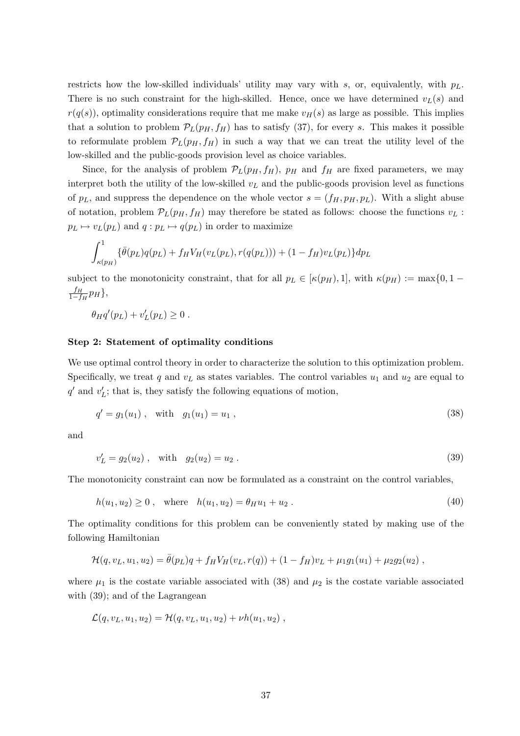restricts how the low-skilled individuals' utility may vary with s, or, equivalently, with  $p<sub>L</sub>$ . There is no such constraint for the high-skilled. Hence, once we have determined  $v<sub>L</sub>(s)$  and  $r(q(s))$ , optimality considerations require that me make  $v_H(s)$  as large as possible. This implies that a solution to problem  $\mathcal{P}_L(p_H, f_H)$  has to satisfy (37), for every s. This makes it possible to reformulate problem  $\mathcal{P}_L(p_H, f_H)$  in such a way that we can treat the utility level of the low-skilled and the public-goods provision level as choice variables.

Since, for the analysis of problem  $\mathcal{P}_L(p_H, f_H)$ ,  $p_H$  and  $f_H$  are fixed parameters, we may interpret both the utility of the low-skilled  $v<sub>L</sub>$  and the public-goods provision level as functions of  $p_L$ , and suppress the dependence on the whole vector  $s = (f_H, p_H, p_L)$ . With a slight abuse of notation, problem  $\mathcal{P}_L(p_H, f_H)$  may therefore be stated as follows: choose the functions  $v_L$ :  $p_L \mapsto v_L(p_L)$  and  $q : p_L \mapsto q(p_L)$  in order to maximize

$$
\int_{\kappa(p_H)}^1 \{ \bar{\theta}(p_L) q(p_L) + f_H V_H(v_L(p_L), r(q(p_L))) + (1 - f_H) v_L(p_L) \} dp_L
$$

subject to the monotonicity constraint, that for all  $p_L \in [\kappa(p_H), 1]$ , with  $\kappa(p_H) := \max\{0, 1$  $f_H$  $\frac{fH}{1-f_H}$  $p_H$ },

$$
\theta_H q'(p_L) + v'_L(p_L) \geq 0.
$$

### Step 2: Statement of optimality conditions

We use optimal control theory in order to characterize the solution to this optimization problem. Specifically, we treat q and  $v<sub>L</sub>$  as states variables. The control variables  $u<sub>1</sub>$  and  $u<sub>2</sub>$  are equal to  $q'$  and  $v'_{L}$ ; that is, they satisfy the following equations of motion,

$$
q' = g_1(u_1), \quad \text{with} \quad g_1(u_1) = u_1 \,, \tag{38}
$$

and

$$
v'_{L} = g_{2}(u_{2}), \quad \text{with} \quad g_{2}(u_{2}) = u_{2}. \tag{39}
$$

The monotonicity constraint can now be formulated as a constraint on the control variables,

$$
h(u_1, u_2) \ge 0, \quad \text{where} \quad h(u_1, u_2) = \theta_H u_1 + u_2. \tag{40}
$$

The optimality conditions for this problem can be conveniently stated by making use of the following Hamiltonian

$$
\mathcal{H}(q, v_L, u_1, u_2) = \bar{\theta}(p_L)q + f_H V_H(v_L, r(q)) + (1 - f_H)v_L + \mu_1 g_1(u_1) + \mu_2 g_2(u_2) ,
$$

where  $\mu_1$  is the costate variable associated with (38) and  $\mu_2$  is the costate variable associated with (39); and of the Lagrangean

$$
\mathcal{L}(q, v_L, u_1, u_2) = \mathcal{H}(q, v_L, u_1, u_2) + \nu h(u_1, u_2) ,
$$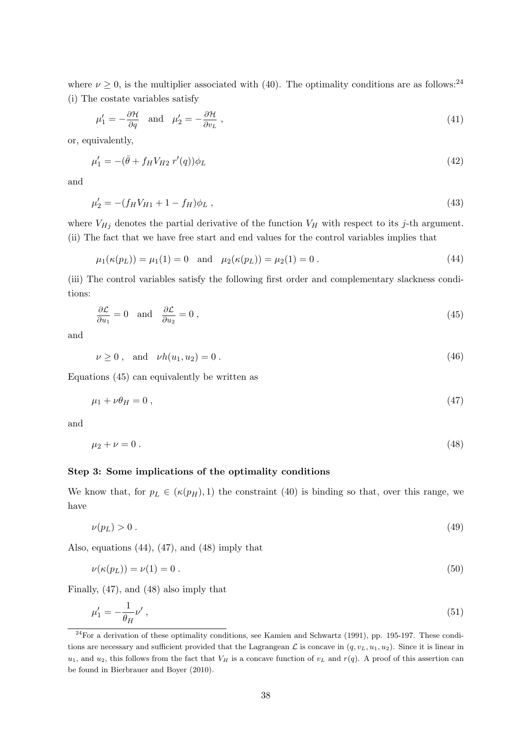where  $\nu \geq 0$ , is the multiplier associated with (40). The optimality conditions are as follows:<sup>24</sup> (i) The costate variables satisfy

$$
\mu_1' = -\frac{\partial \mathcal{H}}{\partial q} \quad \text{and} \quad \mu_2' = -\frac{\partial \mathcal{H}}{\partial v_L} \,, \tag{41}
$$

or, equivalently,

$$
\mu_1' = -(\bar{\theta} + f_H V_{H2} r'(q)) \phi_L \tag{42}
$$

and

$$
\mu_2' = -(f_H V_{H1} + 1 - f_H)\phi_L \,,\tag{43}
$$

where  $V_{Hj}$  denotes the partial derivative of the function  $V_H$  with respect to its j-th argument. (ii) The fact that we have free start and end values for the control variables implies that

$$
\mu_1(\kappa(p_L)) = \mu_1(1) = 0
$$
 and  $\mu_2(\kappa(p_L)) = \mu_2(1) = 0$ . (44)

(iii) The control variables satisfy the following first order and complementary slackness conditions:

$$
\frac{\partial \mathcal{L}}{\partial u_1} = 0 \quad \text{and} \quad \frac{\partial \mathcal{L}}{\partial u_2} = 0 \tag{45}
$$

and

$$
\nu \ge 0 \;, \text{ and } \nu h(u_1, u_2) = 0 \;.
$$
 (46)

Equations (45) can equivalently be written as

$$
\mu_1 + \nu \theta_H = 0 \tag{47}
$$

and

$$
\mu_2 + \nu = 0 \tag{48}
$$

### Step 3: Some implications of the optimality conditions

We know that, for  $p_L \in (\kappa(p_H), 1)$  the constraint (40) is binding so that, over this range, we have

$$
\nu(p_L) > 0 \tag{49}
$$

Also, equations (44), (47), and (48) imply that

$$
\nu(\kappa(p_L)) = \nu(1) = 0.
$$
\n
$$
(50)
$$

Finally, (47), and (48) also imply that

$$
\mu_1' = -\frac{1}{\theta_H} \nu' \,,\tag{51}
$$

 $24$ For a derivation of these optimality conditions, see Kamien and Schwartz (1991), pp. 195-197. These conditions are necessary and sufficient provided that the Lagrangean  $\mathcal L$  is concave in  $(q, v_L, u_1, u_2)$ . Since it is linear in  $u_1$ , and  $u_2$ , this follows from the fact that  $V_H$  is a concave function of  $v_L$  and  $r(q)$ . A proof of this assertion can be found in Bierbrauer and Boyer (2010).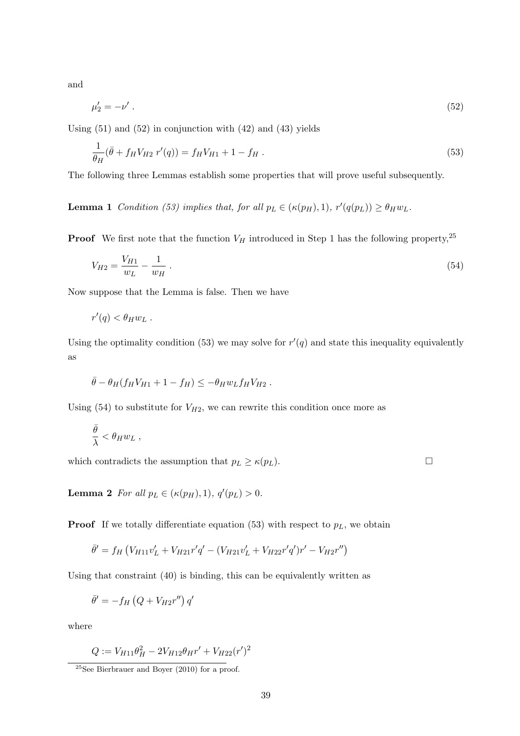and

$$
\mu_2' = -\nu' \tag{52}
$$

Using (51) and (52) in conjunction with (42) and (43) yields

$$
\frac{1}{\theta_H}(\bar{\theta} + f_H V_{H2} r'(q)) = f_H V_{H1} + 1 - f_H.
$$
\n(53)

The following three Lemmas establish some properties that will prove useful subsequently.

**Lemma 1** Condition (53) implies that, for all  $p_L \in (\kappa(p_H), 1), r'(q(p_L)) \ge \theta_H w_L$ .

**Proof** We first note that the function  $V_H$  introduced in Step 1 has the following property,<sup>25</sup>

$$
V_{H2} = \frac{V_{H1}}{w_L} - \frac{1}{w_H} \,. \tag{54}
$$

Now suppose that the Lemma is false. Then we have

$$
r'(q) < \theta_H w_L.
$$

Using the optimality condition (53) we may solve for  $r'(q)$  and state this inequality equivalently as

$$
\bar{\theta} - \theta_H(f_H V_{H1} + 1 - f_H) \leq -\theta_H w_L f_H V_{H2} .
$$

Using (54) to substitute for  $V_{H2}$ , we can rewrite this condition once more as

$$
\frac{\bar{\theta}}{\lambda} < \theta_H w_L ,
$$

which contradicts the assumption that  $p_L \geq \kappa(p_L)$ .

**Lemma 2** For all  $p_L \in (\kappa(p_H), 1), q'(p_L) > 0.$ 

**Proof** If we totally differentiate equation (53) with respect to  $p<sub>L</sub>$ , we obtain

$$
\bar{\theta}' = f_H \left( V_{H11} v'_L + V_{H21} r' q' - (V_{H21} v'_L + V_{H22} r' q') r' - V_{H2} r'' \right)
$$

Using that constraint (40) is binding, this can be equivalently written as

$$
\bar{\theta}' = -f_H \left( Q + V_{H2} r'' \right) q'
$$

where

$$
Q := V_{H11}\theta_H^2 - 2V_{H12}\theta_H r' + V_{H22}(r')^2
$$

<sup>&</sup>lt;sup>25</sup>See Bierbrauer and Boyer  $(2010)$  for a proof.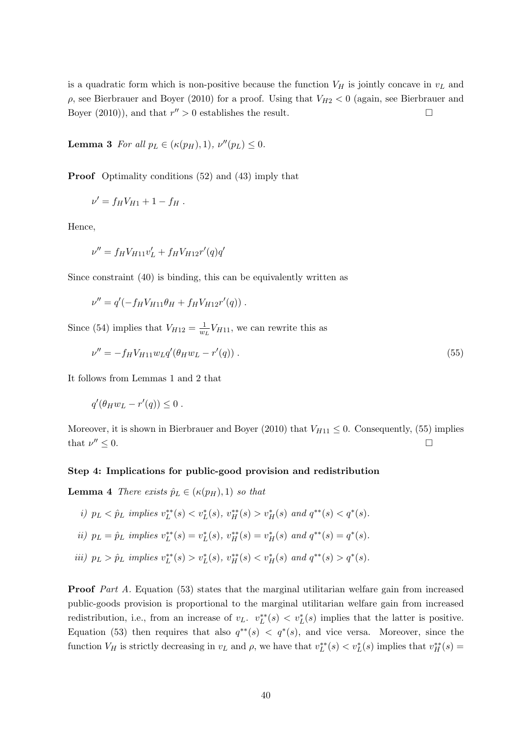is a quadratic form which is non-positive because the function  $V_H$  is jointly concave in  $v_L$  and  $\rho$ , see Bierbrauer and Boyer (2010) for a proof. Using that  $V_{H2} < 0$  (again, see Bierbrauer and Boyer (2010)), and that  $r'' > 0$  establishes the result.

**Lemma 3** For all  $p_L \in (\kappa(p_H), 1), \nu''(p_L) \leq 0.$ 

Proof Optimality conditions (52) and (43) imply that

$$
\nu' = f_H V_{H1} + 1 - f_H.
$$

Hence,

$$
\nu'' = f_H V_{H11} v'_L + f_H V_{H12} r'(q) q'
$$

Since constraint (40) is binding, this can be equivalently written as

 $\nu'' = q'(-f_H V_{H11} \theta_H + f_H V_{H12} r'(q))$ .

Since (54) implies that  $V_{H12} = \frac{1}{w}$  $\frac{1}{w_L}V_{H11}$ , we can rewrite this as

$$
\nu'' = -f_H V_{H11} w_L q' (\theta_H w_L - r'(q)). \tag{55}
$$

It follows from Lemmas 1 and 2 that

$$
q'(\theta_H w_L - r'(q)) \leq 0.
$$

Moreover, it is shown in Bierbrauer and Boyer (2010) that  $V_{H11} \leq 0$ . Consequently, (55) implies that  $\nu'' \leq 0$ .  $\mathbf{0} \leq 0.$ 

### Step 4: Implications for public-good provision and redistribution

**Lemma 4** There exists  $\hat{p}_L \in (\kappa(p_H), 1)$  so that

i)  $p_L < \hat{p}_L$  implies  $v_L^{**}(s) < v_L^{*}(s)$ ,  $v_H^{**}(s) > v_H^{*}(s)$  and  $q^{**}(s) < q^{*}(s)$ .

*ii)* 
$$
p_L = \hat{p}_L
$$
 implies  $v_L^{**}(s) = v_L^{*}(s)$ ,  $v_H^{**}(s) = v_H^{*}(s)$  and  $q^{**}(s) = q^{*}(s)$ .

*iii)* 
$$
p_L > \hat{p}_L
$$
 *implies*  $v_L^{**}(s) > v_L^{*}(s)$ ,  $v_H^{**}(s) < v_H^{*}(s)$  and  $q^{**}(s) > q^{*}(s)$ .

Proof Part A. Equation (53) states that the marginal utilitarian welfare gain from increased public-goods provision is proportional to the marginal utilitarian welfare gain from increased redistribution, i.e., from an increase of  $v_L$ .  $v_L^{**}(s) < v_L^*(s)$  implies that the latter is positive. Equation (53) then requires that also  $q^{**}(s) < q^{*}(s)$ , and vice versa. Moreover, since the function  $V_H$  is strictly decreasing in  $v_L$  and  $\rho$ , we have that  $v_L^{**}(s) < v_L^*(s)$  implies that  $v_H^{**}(s) =$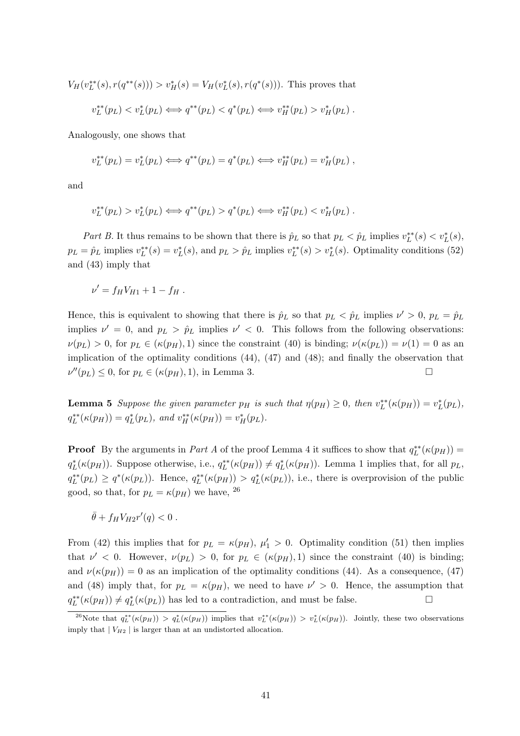$V_H(v_L^{**}(s), r(q^{**}(s))) > v_H^{*}(s) = V_H(v_L^{*}(s), r(q^{*}(s)))$ . This proves that

$$
v_L^{**}(p_L) < v_L^*(p_L) \Longleftrightarrow q^{**}(p_L) < q^*(p_L) \Longleftrightarrow v_H^{**}(p_L) > v_H^*(p_L) .
$$

Analogously, one shows that

$$
v_L^{**}(p_L) = v_L^*(p_L) \Longleftrightarrow q^{**}(p_L) = q^*(p_L) \Longleftrightarrow v_H^{**}(p_L) = v_H^*(p_L) ,
$$

and

$$
v_L^{**}(p_L) > v_L^*(p_L) \Longleftrightarrow q^{**}(p_L) > q^*(p_L) \Longleftrightarrow v_H^{**}(p_L) < v_H^*(p_L) .
$$

Part B. It thus remains to be shown that there is  $\hat{p}_L$  so that  $p_L < \hat{p}_L$  implies  $v_L^{**}(s) < v_L^*(s)$ ,  $p_L = \hat{p}_L$  implies  $v_L^{**}(s) = v_L^*(s)$ , and  $p_L > \hat{p}_L$  implies  $v_L^{**}(s) > v_L^*(s)$ . Optimality conditions (52) and (43) imply that

$$
\nu' = f_H V_{H1} + 1 - f_H.
$$

Hence, this is equivalent to showing that there is  $\hat{p}_L$  so that  $p_L < \hat{p}_L$  implies  $\nu' > 0$ ,  $p_L = \hat{p}_L$ implies  $\nu' = 0$ , and  $p_L > \hat{p}_L$  implies  $\nu' < 0$ . This follows from the following observations:  $\nu(p_L) > 0$ , for  $p_L \in (\kappa(p_H), 1)$  since the constraint (40) is binding;  $\nu(\kappa(p_L)) = \nu(1) = 0$  as an implication of the optimality conditions (44), (47) and (48); and finally the observation that  $\nu''(p_L) \leq 0$ , for  $p_L \in (\kappa(p_H), 1)$ , in Lemma 3.

**Lemma 5** Suppose the given parameter  $p_H$  is such that  $\eta(p_H) \geq 0$ , then  $v_L^{**}(\kappa(p_H)) = v_L^*(p_L)$ ,  $q_L^{**}(\kappa(p_H)) = q_L^*(p_L), \text{ and } v_H^{**}(\kappa(p_H)) = v_H^*(p_L).$ 

**Proof** By the arguments in *Part A* of the proof Lemma 4 it suffices to show that  $q_L^{**}(\kappa(p_H))$  =  $q_L^*(\kappa(p_H))$ . Suppose otherwise, i.e.,  $q_L^{**}(\kappa(p_H)) \neq q_L^*(\kappa(p_H))$ . Lemma 1 implies that, for all  $p_L$ ,  $q_L^{**}(p_L) \ge q^*(\kappa(p_L))$ . Hence,  $q_L^{**}(\kappa(p_H)) > q_L^*(\kappa(p_L))$ , i.e., there is overprovision of the public good, so that, for  $p_L = \kappa(p_H)$  we have, <sup>26</sup>

$$
\bar{\theta} + f_H V_{H2} r'(q) < 0.
$$

From (42) this implies that for  $p_L = \kappa(p_H)$ ,  $\mu'_1 > 0$ . Optimality condition (51) then implies that  $\nu' < 0$ . However,  $\nu(p_L) > 0$ , for  $p_L \in (\kappa(p_H), 1)$  since the constraint (40) is binding; and  $\nu(\kappa(p_H)) = 0$  as an implication of the optimality conditions (44). As a consequence, (47) and (48) imply that, for  $p_L = \kappa(p_H)$ , we need to have  $\nu' > 0$ . Hence, the assumption that  $q_L^{**}(\kappa(p_H)) \neq q_L^{*}(\kappa(p_L))$  has led to a contradiction, and must be false.

<sup>&</sup>lt;sup>26</sup>Note that  $q_L^{**}(\kappa(p_H)) > q_L^*(\kappa(p_H))$  implies that  $v_L^{**}(\kappa(p_H)) > v_L^*(\kappa(p_H))$ . Jointly, these two observations imply that  $|V_{H2}|$  is larger than at an undistorted allocation.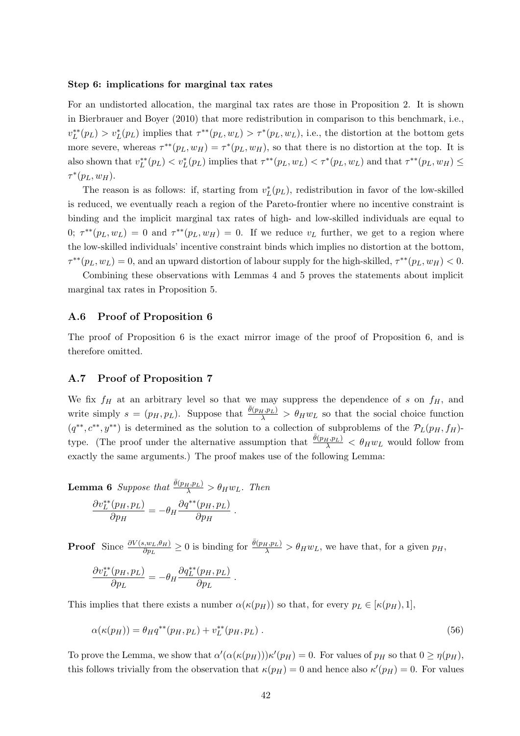#### Step 6: implications for marginal tax rates

For an undistorted allocation, the marginal tax rates are those in Proposition 2. It is shown in Bierbrauer and Boyer (2010) that more redistribution in comparison to this benchmark, i.e.,  $v_L^{**}(p_L) > v_L^*(p_L)$  implies that  $\tau^{**}(p_L, w_L) > \tau^{*}(p_L, w_L)$ , i.e., the distortion at the bottom gets more severe, whereas  $\tau^{**}(p_L, w_H) = \tau^{*}(p_L, w_H)$ , so that there is no distortion at the top. It is also shown that  $v_L^{**}(p_L) < v_L^*(p_L)$  implies that  $\tau^{**}(p_L, w_L) < \tau^{*}(p_L, w_L)$  and that  $\tau^{**}(p_L, w_H) \le$  $\tau^*(p_L, w_H)$ .

The reason is as follows: if, starting from  $v_L^*(p_L)$ , redistribution in favor of the low-skilled is reduced, we eventually reach a region of the Pareto-frontier where no incentive constraint is binding and the implicit marginal tax rates of high- and low-skilled individuals are equal to 0;  $\tau^{**}(p_L, w_L) = 0$  and  $\tau^{**}(p_L, w_H) = 0$ . If we reduce  $v_L$  further, we get to a region where the low-skilled individuals' incentive constraint binds which implies no distortion at the bottom,  $\tau^{**}(p_L, w_L) = 0$ , and an upward distortion of labour supply for the high-skilled,  $\tau^{**}(p_L, w_H) < 0$ .

Combining these observations with Lemmas 4 and 5 proves the statements about implicit marginal tax rates in Proposition 5.

## A.6 Proof of Proposition 6

The proof of Proposition 6 is the exact mirror image of the proof of Proposition 6, and is therefore omitted.

# A.7 Proof of Proposition 7

We fix  $f_H$  at an arbitrary level so that we may suppress the dependence of s on  $f_H$ , and write simply  $s = (p_H, p_L)$ . Suppose that  $\frac{\bar{\theta}(p_H, p_L)}{\lambda} > \theta_H w_L$  so that the social choice function  $(q^{**}, c^{**}, y^{**})$  is determined as the solution to a collection of subproblems of the  $\mathcal{P}_L(p_H, f_H)$ type. (The proof under the alternative assumption that  $\frac{\bar{\theta}(p_H, p_L)}{\lambda} < \theta_H w_L$  would follow from exactly the same arguments.) The proof makes use of the following Lemma:

**Lemma 6** Suppose that  $\frac{\bar{\theta}(p_H, p_L)}{\lambda} > \theta_H w_L$ . Then

$$
\frac{\partial v_L^{**}(p_H, p_L)}{\partial p_H} = -\theta_H \frac{\partial q^{**}(p_H, p_L)}{\partial p_H} .
$$

**Proof** Since  $\frac{\partial V(s, w_L, \theta_H)}{\partial p_L} \ge 0$  is binding for  $\frac{\bar{\theta}(p_H, p_L)}{\lambda} > \theta_H w_L$ , we have that, for a given  $p_H$ ,

$$
\frac{\partial v_L^{**}(p_H, p_L)}{\partial p_L} = -\theta_H \frac{\partial q_L^{**}(p_H, p_L)}{\partial p_L}.
$$

This implies that there exists a number  $\alpha(\kappa(p_H))$  so that, for every  $p_L \in [\kappa(p_H), 1]$ ,

$$
\alpha(\kappa(p_H)) = \theta_H q^{**}(p_H, p_L) + v_L^{**}(p_H, p_L) \,. \tag{56}
$$

To prove the Lemma, we show that  $\alpha'(\alpha(\kappa(p_H)))\kappa'(p_H) = 0$ . For values of  $p_H$  so that  $0 \ge \eta(p_H)$ , this follows trivially from the observation that  $\kappa(p_H) = 0$  and hence also  $\kappa'(p_H) = 0$ . For values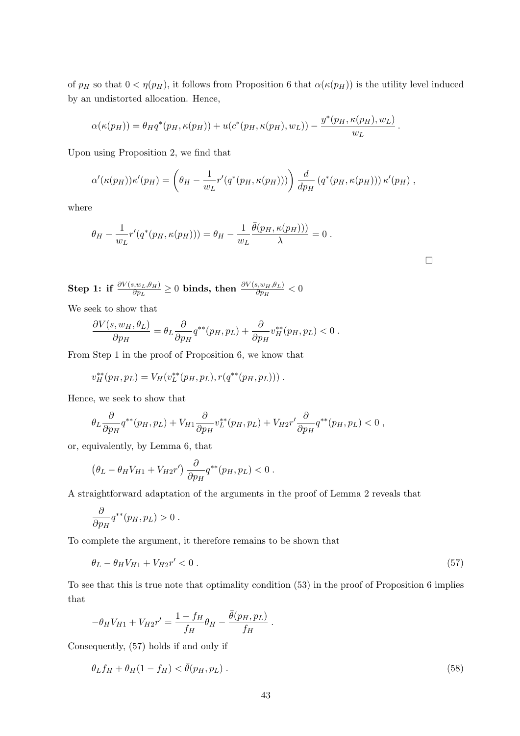of  $p_H$  so that  $0 < \eta(p_H)$ , it follows from Proposition 6 that  $\alpha(\kappa(p_H))$  is the utility level induced by an undistorted allocation. Hence,

$$
\alpha(\kappa(p_H)) = \theta_H q^*(p_H, \kappa(p_H)) + u(c^*(p_H, \kappa(p_H), w_L)) - \frac{y^*(p_H, \kappa(p_H), w_L)}{w_L}.
$$

Upon using Proposition 2, we find that

$$
\alpha'(\kappa(p_H))\kappa'(p_H) = \left(\theta_H - \frac{1}{w_L}r'(q^*(p_H, \kappa(p_H)))\right)\frac{d}{dp_H}\left(q^*(p_H, \kappa(p_H))\right)\kappa'(p_H),
$$

where

$$
\theta_H - \frac{1}{w_L} r'(q^*(p_H, \kappa(p_H))) = \theta_H - \frac{1}{w_L} \frac{\overline{\theta}(p_H, \kappa(p_H)))}{\lambda} = 0.
$$

 $\textbf{Step 1: if } \frac{\partial V(s, w_L, \theta_H)}{\partial p_L} \geq 0 \textbf{ binds, then } \frac{\partial V(s, w_H, \theta_L)}{\partial p_H} < 0$ 

We seek to show that

$$
\frac{\partial V(s,w_H,\theta_L)}{\partial p_H} = \theta_L \frac{\partial}{\partial p_H} q^{**}(p_H,p_L) + \frac{\partial}{\partial p_H} v_H^{**}(p_H,p_L) < 0.
$$

From Step 1 in the proof of Proposition 6, we know that

$$
v_H^{**}(p_H, p_L) = V_H(v_L^{**}(p_H, p_L), r(q^{**}(p_H, p_L))) .
$$

Hence, we seek to show that

$$
\theta_L \frac{\partial}{\partial p_H} q^{**}(p_H, p_L) + V_{H1} \frac{\partial}{\partial p_H} v_L^{**}(p_H, p_L) + V_{H2} r' \frac{\partial}{\partial p_H} q^{**}(p_H, p_L) < 0,
$$

or, equivalently, by Lemma 6, that

$$
(\theta_L - \theta_H V_{H1} + V_{H2}r') \frac{\partial}{\partial p_H} q^{**}(p_H, p_L) < 0.
$$

A straightforward adaptation of the arguments in the proof of Lemma 2 reveals that

$$
\frac{\partial}{\partial p_H} q^{**}(p_H, p_L) > 0.
$$

To complete the argument, it therefore remains to be shown that

$$
\theta_L - \theta_H V_{H1} + V_{H2} r' < 0 \tag{57}
$$

To see that this is true note that optimality condition (53) in the proof of Proposition 6 implies that

.

$$
-\theta_H V_{H1} + V_{H2}r' = \frac{1 - f_H}{f_H} \theta_H - \frac{\bar{\theta}(p_H, p_L)}{f_H}
$$

Consequently, (57) holds if and only if

$$
\theta_L f_H + \theta_H (1 - f_H) < \bar{\theta}(p_H, p_L) \tag{58}
$$